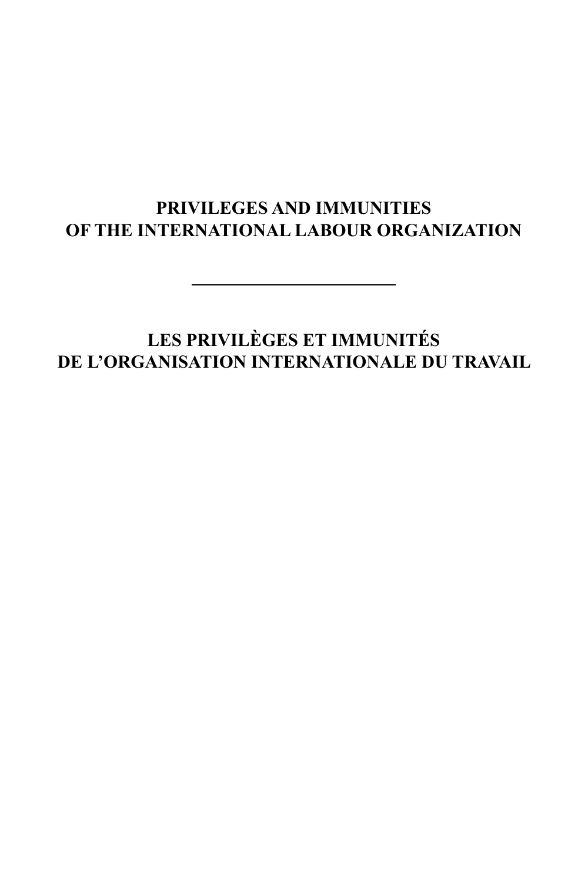# **PRIVILEGES AND IMMUNITIES OF THE INTERNATIONAL LABOUR ORGANIZATION**

**LES PRIVILÈGES ET IMMUNITÉS DE L'ORGANISATION INTERNATIONALE DU TRAVAIL**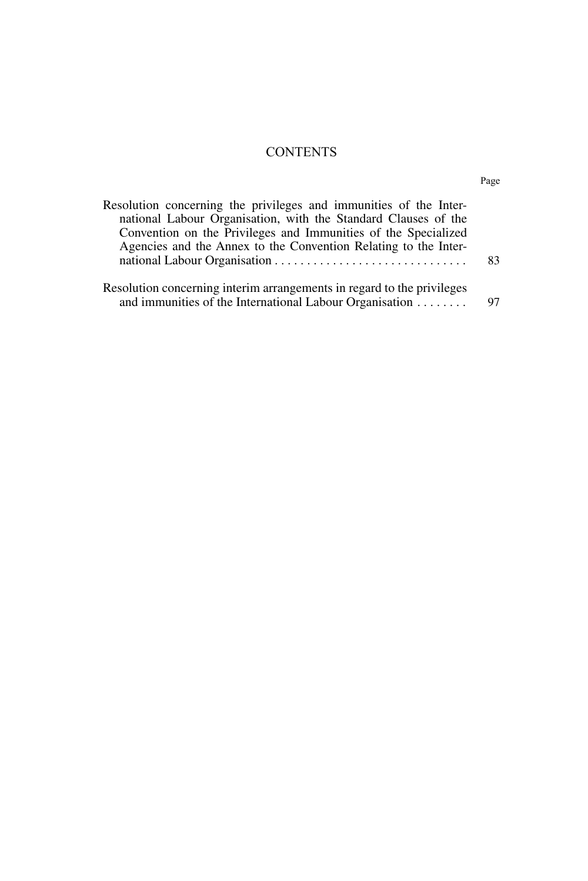# **CONTENTS**

| Resolution concerning the privileges and immunities of the Inter-      |    |
|------------------------------------------------------------------------|----|
| national Labour Organisation, with the Standard Clauses of the         |    |
| Convention on the Privileges and Immunities of the Specialized         |    |
| Agencies and the Annex to the Convention Relating to the Inter-        |    |
|                                                                        | 83 |
|                                                                        |    |
| Resolution concerning interim arrangements in regard to the privileges |    |
| and immunities of the International Labour Organisation                | 97 |

Page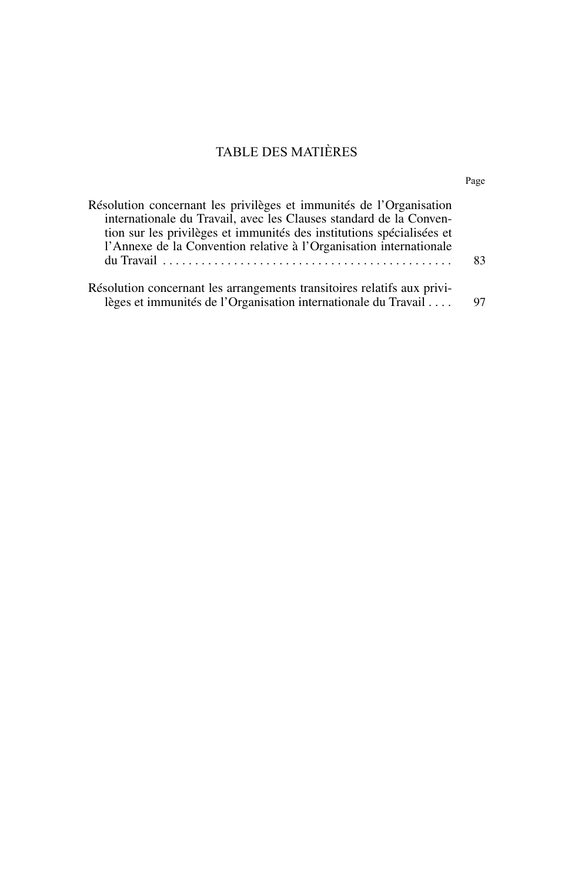# TABLE DES MATIÈRES

| Résolution concernant les privilèges et immunités de l'Organisation<br>internationale du Travail, avec les Clauses standard de la Conven-<br>tion sur les privilèges et immunités des institutions spécialisées et<br>l'Annexe de la Convention relative à l'Organisation internationale | 83 |
|------------------------------------------------------------------------------------------------------------------------------------------------------------------------------------------------------------------------------------------------------------------------------------------|----|
| Résolution concernant les arrangements transitoires relatifs aux privi-<br>lèges et immunités de l'Organisation internationale du Travail                                                                                                                                                | 97 |

Page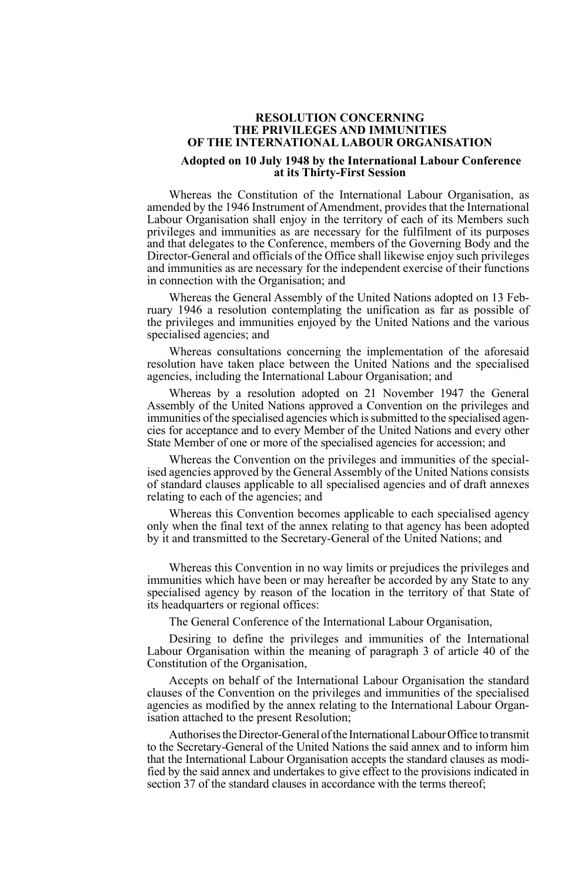# **RESOLUTION CONCERNING THE PRIVILEGES AND IMMUNITIES OF THE INTERNATIONAL LABOUR ORGANISATION**

### **Adopted on 10 July 1948 by the International Labour Conference at its Thirty-First Session**

Whereas the Constitution of the International Labour Organisation, as amended by the 1946 Instrument of Amendment, provides that the International Labour Organisation shall enjoy in the territory of each of its Members such privileges and immunities as are necessary for the fulfilment of its purposes and that delegates to the Conference, members of the Governing Body and the Director-General and officials of the Office shall likewise enjoy such privileges and immunities as are necessary for the independent exercise of their functions in connection with the Organisation; and

Whereas the General Assembly of the United Nations adopted on 13 February 1946 a resolution contemplating the unification as far as possible of the privileges and immunities enjoyed by the United Nations and the various specialised agencies; and

Whereas consultations concerning the implementation of the aforesaid resolution have taken place between the United Nations and the specialised agencies, including the International Labour Organisation; and

Whereas by a resolution adopted on 21 November 1947 the General Assembly of the United Nations approved a Convention on the privileges and immunities of the specialised agencies which is submitted to the specialised agencies for acceptance and to every Member of the United Nations and every other State Member of one or more of the specialised agencies for accession; and

Whereas the Convention on the privileges and immunities of the specialised agencies approved by the General Assembly of the United Nations consists of standard clauses applicable to all specialised agencies and of draft annexes relating to each of the agencies; and

Whereas this Convention becomes applicable to each specialised agency only when the final text of the annex relating to that agency has been adopted by it and transmitted to the Secretary-General of the United Nations; and

Whereas this Convention in no way limits or prejudices the privileges and immunities which have been or may hereafter be accorded by any State to any specialised agency by reason of the location in the territory of that State of its headquarters or regional offices:

The General Conference of the International Labour Organisation,

Desiring to define the privileges and immunities of the International Labour Organisation within the meaning of paragraph 3 of article 40 of the Constitution of the Organisation,

Accepts on behalf of the International Labour Organisation the standard clauses of the Convention on the privileges and immunities of the specialised agencies as modified by the annex relating to the International Labour Organisation attached to the present Resolution;

Authorises the Director-General of the International Labour Office to transmit to the Secretary-General of the United Nations the said annex and to inform him that the International Labour Organisation accepts the standard clauses as modified by the said annex and undertakes to give effect to the provisions indicated in section 37 of the standard clauses in accordance with the terms thereof;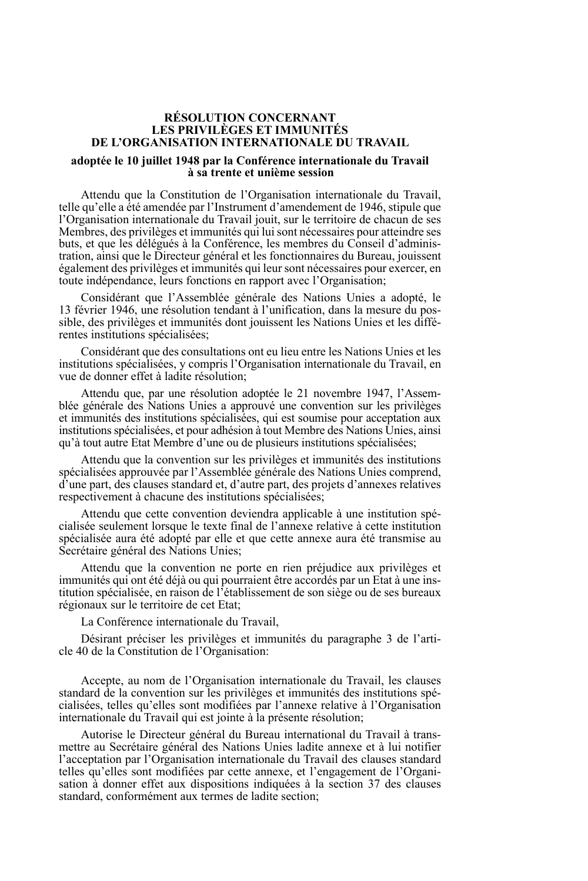# **RÉSOLUTION CONCERNANT LES PRIVILÈGES ET IMMUNITÉS DE L'ORGANISATION INTERNATIONALE DU TRAVAIL**

### **adoptée le 10 juillet 1948 par la Conférence internationale du Travail à sa trente et unième session**

Attendu que la Constitution de l'Organisation internationale du Travail, telle qu'elle a été amendée par l'Instrument d'amendement de 1946, stipule que l'Organisation internationale du Travail jouit, sur le territoire de chacun de ses Membres, des privilèges et immunités qui lui sont nécessaires pour atteindre ses buts, et que les délégués à la Conférence, les membres du Conseil d'administration, ainsi que le Directeur général et les fonctionnaires du Bureau, jouissent également des privilèges et immunités qui leur sont nécessaires pour exercer, en toute indépendance, leurs fonctions en rapport avec l'Organisation;

Considérant que l'Assemblée générale des Nations Unies a adopté, le 13 février 1946, une résolution tendant à l'unification, dans la mesure du possible, des privilèges et immunités dont jouissent les Nations Unies et les différentes institutions spécialisées;

Considérant que des consultations ont eu lieu entre les Nations Unies et les institutions spécialisées, y compris l'Organisation internationale du Travail, en vue de donner effet à ladite résolution;

Attendu que, par une résolution adoptée le 21 novembre 1947, l'Assemblée générale des Nations Unies a approuvé une convention sur les privilèges et immunités des institutions spécialisées, qui est soumise pour acceptation aux institutions spécialisées, et pour adhésion à tout Membre des Nations Unies, ainsi qu'à tout autre Etat Membre d'une ou de plusieurs institutions spécialisées;

Attendu que la convention sur les privilèges et immunités des institutions spécialisées approuvée par l'Assemblée générale des Nations Unies comprend, d'une part, des clauses standard et, d'autre part, des projets d'annexes relatives respectivement à chacune des institutions spécialisées;

Attendu que cette convention deviendra applicable à une institution spécialisée seulement lorsque le texte final de l'annexe relative à cette institution spécialisée aura été adopté par elle et que cette annexe aura été transmise au Secrétaire général des Nations Unies;

Attendu que la convention ne porte en rien préjudice aux privilèges et immunités qui ont été déjà ou qui pourraient être accordés par un Etat à une institution spécialisée, en raison de l'établissement de son siège ou de ses bureaux régionaux sur le territoire de cet Etat;

La Conférence internationale du Travail,

Désirant préciser les privilèges et immunités du paragraphe 3 de l'article 40 de la Constitution de l'Organisation:

Accepte, au nom de l'Organisation internationale du Travail, les clauses standard de la convention sur les privilèges et immunités des institutions spécialisées, telles qu'elles sont modifiées par l'annexe relative à l'Organisation internationale du Travail qui est jointe à la présente résolution;

Autorise le Directeur général du Bureau international du Travail à transmettre au Secrétaire général des Nations Unies ladite annexe et à lui notifier l'acceptation par l'Organisation internationale du Travail des clauses standard telles qu'elles sont modifiées par cette annexe, et l'engagement de l'Organisation à donner effet aux dispositions indiquées à la section 37 des clauses standard, conformément aux termes de ladite section;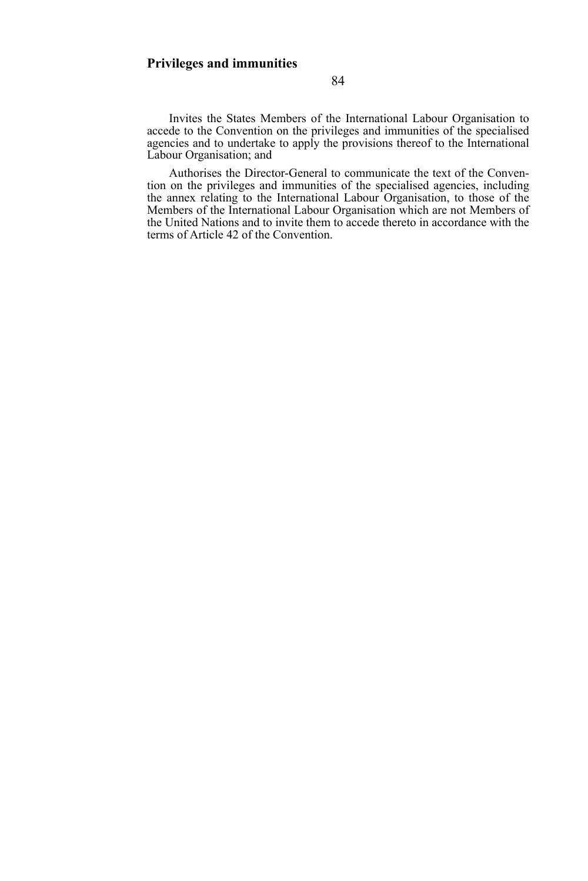84

Invites the States Members of the International Labour Organisation to accede to the Convention on the privileges and immunities of the specialised agencies and to undertake to apply the provisions thereof to the International Labour Organisation; and

Authorises the Director-General to communicate the text of the Convention on the privileges and immunities of the specialised agencies, including the annex relating to the International Labour Organisation, to those of the Members of the International Labour Organisation which are not Members of the United Nations and to invite them to accede thereto in accordance with the terms of Article 42 of the Convention.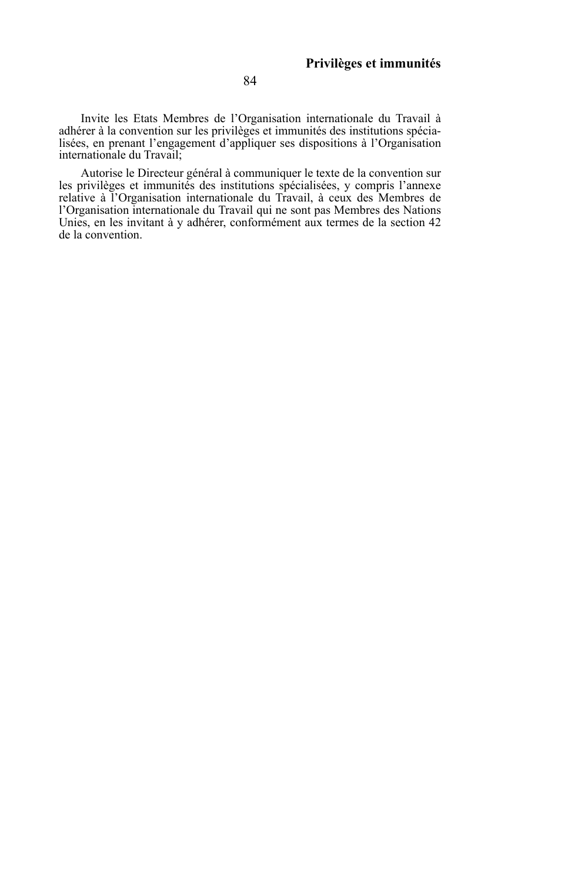Invite les Etats Membres de l'Organisation internationale du Travail à adhérer à la convention sur les privilèges et immunités des institutions spécialisées, en prenant l'engagement d'appliquer ses dispositions à l'Organisation internationale du Travail;

Autorise le Directeur général à communiquer le texte de la convention sur les privilèges et immunités des institutions spécialisées, y compris l'annexe relative à l'Organisation internationale du Travail, à ceux des Membres de l'Organisation internationale du Travail qui ne sont pas Membres des Nations Unies, en les invitant à y adhérer, conformément aux termes de la section 42 de la convention.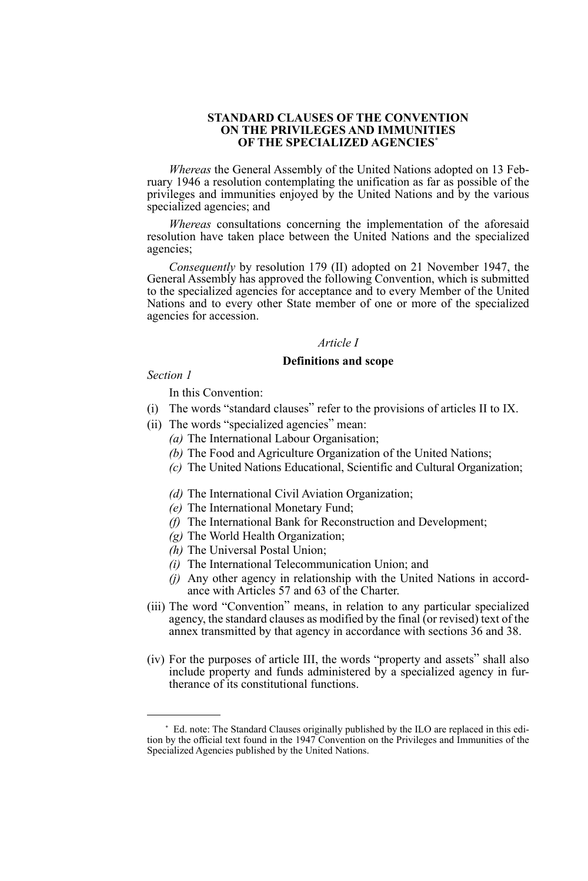### **STANDARD CLAUSES OF THE CONVENTION ON THE PRIVILEGES AND IMMUNITIES OF THE SPECIALIZED AGENCIES\***

*Whereas* the General Assembly of the United Nations adopted on 13 February 1946 a resolution contemplating the unification as far as possible of the privileges and immunities enjoyed by the United Nations and by the various specialized agencies; and

*Whereas* consultations concerning the implementation of the aforesaid resolution have taken place between the United Nations and the specialized agencies;

*Consequently* by resolution 179 (II) adopted on 21 November 1947, the General Assembly has approved the following Convention, which is submitted to the specialized agencies for acceptance and to every Member of the United Nations and to every other State member of one or more of the specialized agencies for accession.

### *Article I*

# **Definitions and scope**

### *Section 1*

In this Convention:

- (i) The words "standard clauses" refer to the provisions of articles II to IX.
- (ii) The words "specialized agencies" mean:
	- *(a)* The International Labour Organisation;
	- *(b)* The Food and Agriculture Organization of the United Nations;
	- *(c)* The United Nations Educational, Scientific and Cultural Organization;
	- *(d)* The International Civil Aviation Organization;
	- *(e)* The International Monetary Fund;
	- *(f)* The International Bank for Reconstruction and Development;
	- *(g)* The World Health Organization;
	- *(h)* The Universal Postal Union;
	- *(i)* The International Telecommunication Union; and
	- *(j)* Any other agency in relationship with the United Nations in accordance with Articles 57 and 63 of the Charter.
- (iii) The word "Convention" means, in relation to any particular specialized agency, the standard clauses as modified by the final (or revised) text of the annex transmitted by that agency in accordance with sections 36 and 38.
- (iv) For the purposes of article III, the words "property and assets" shall also include property and funds administered by a specialized agency in furtherance of its constitutional functions.

<sup>\*</sup> Ed. note: The Standard Clauses originally published by the ILO are replaced in this edition by the official text found in the 1947 Convention on the Privileges and Immunities of the Specialized Agencies published by the United Nations.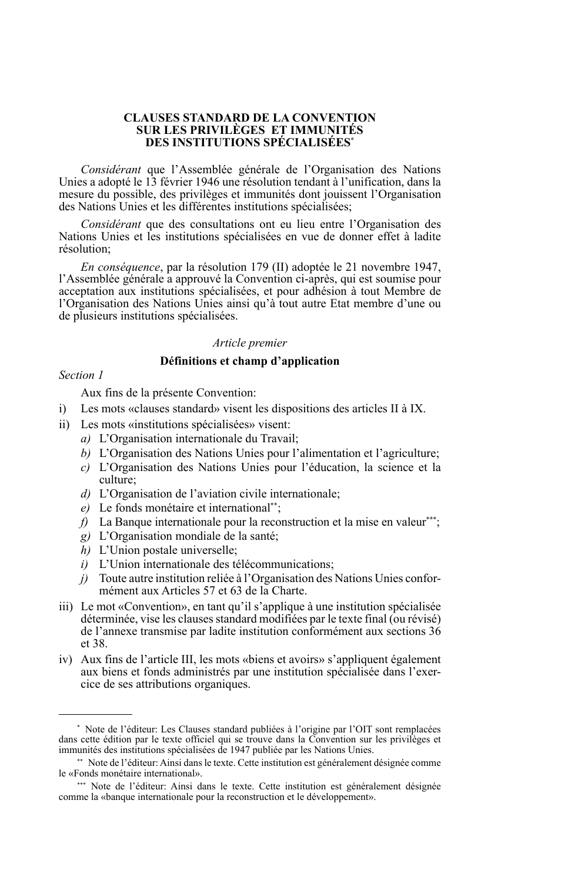# **CLAUSES STANDARD DE LA CONVENTION SUR LES PRIVILÈGES ET IMMUNITÉS DES INSTITUTIONS SPÉCIALISÉES\***

*Considérant* que l'Assemblée générale de l'Organisation des Nations Unies a adopté le 13 février 1946 une résolution tendant à l'unification, dans la mesure du possible, des privilèges et immunités dont jouissent l'Organisation des Nations Unies et les différentes institutions spécialisées;

*Considérant* que des consultations ont eu lieu entre l'Organisation des Nations Unies et les institutions spécialisées en vue de donner effet à ladite résolution;

*En conséquence*, par la résolution 179 (II) adoptée le 21 novembre 1947, l'Assemblée générale a approuvé la Convention ci-après, qui est soumise pour acceptation aux institutions spécialisées, et pour adhésion à tout Membre de l'Organisation des Nations Unies ainsi qu'à tout autre Etat membre d'une ou de plusieurs institutions spécialisées.

### *Article premier*

# **Définitions et champ d'application**

### *Section 1*

Aux fins de la présente Convention:

- i) Les mots «clauses standard» visent les dispositions des articles II à IX.
- ii) Les mots «institutions spécialisées» visent:
	- *a)* L'Organisation internationale du Travail;
	- *b)* L'Organisation des Nations Unies pour l'alimentation et l'agriculture;
	- *c)* L'Organisation des Nations Unies pour l'éducation, la science et la culture;
	- *d)* L'Organisation de l'aviation civile internationale;
	- *e)* Le fonds monétaire et international\*\*;
	- *f*) La Banque internationale pour la reconstruction et la mise en valeur<sup>\*\*\*</sup>;
	- *g)* L'Organisation mondiale de la santé;
	- *h)* L'Union postale universelle;
	- *i)* L'Union internationale des télécommunications;
	- *j*) Toute autre institution reliée à l'Organisation des Nations Unies conformément aux Articles 57 et 63 de la Charte.
- iii) Le mot «Convention», en tant qu'il s'applique à une institution spécialisée déterminée, vise les clauses standard modifiées par le texte final (ou révisé) de l'annexe transmise par ladite institution conformément aux sections 36 et 38.
- iv) Aux fins de l'article III, les mots «biens et avoirs» s'appliquent également aux biens et fonds administrés par une institution spécialisée dans l'exercice de ses attributions organiques.

<sup>\*</sup> Note de l'éditeur: Les Clauses standard publiées à l'origine par l'OIT sont remplacées dans cette édition par le texte officiel qui se trouve dans la Convention sur les privilèges et<br>immunités des institutions spécialisées de 1947 publiée par les Nations Unies.

 $\hspace{0.1mm}^*$  Note de l'éditeur: Ainsi dans le texte. Cette institution est généralement désignée comme le «Fonds monétaire international».

<sup>\*\*</sup> Note de l'éditeur: Ainsi dans le texte. Cette institution est généralement désignée comme la «banque internationale pour la reconstruction et le développement».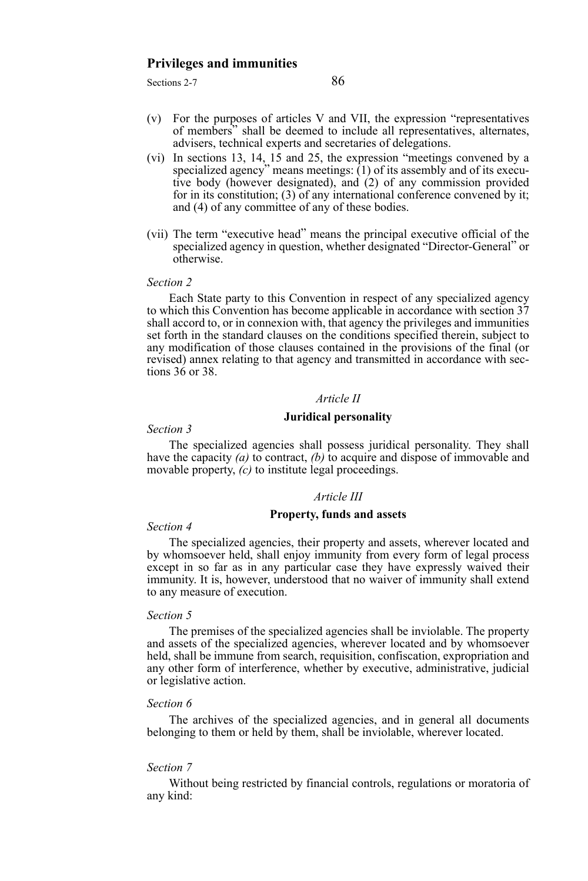Sections 2-7

86

- (v) For the purposes of articles V and VII, the expression "representatives of members" shall be deemed to include all representatives, alternates, advisers, technical experts and secretaries of delegations.
- (vi) In sections 13, 14, 15 and 25, the expression "meetings convened by a specialized agency" means meetings: (1) of its assembly and of its executive body (however designated), and (2) of any commission provided for in its constitution; (3) of any international conference convened by it; and (4) of any committee of any of these bodies.
- (vii) The term "executive head" means the principal executive official of the specialized agency in question, whether designated "Director-General" or otherwise.

### *Section 2*

Each State party to this Convention in respect of any specialized agency to which this Convention has become applicable in accordance with section 37 shall accord to, or in connexion with, that agency the privileges and immunities set forth in the standard clauses on the conditions specified therein, subject to any modification of those clauses contained in the provisions of the final (or revised) annex relating to that agency and transmitted in accordance with sections 36 or 38.

# *Article II*

### **Juridical personality**

# *Section 3*

The specialized agencies shall possess juridical personality. They shall have the capacity *(a)* to contract, *(b)* to acquire and dispose of immovable and movable property, *(c)* to institute legal proceedings.

### *Article III*

### **Property, funds and assets**

## *Section 4*

The specialized agencies, their property and assets, wherever located and by whomsoever held, shall enjoy immunity from every form of legal process except in so far as in any particular case they have expressly waived their immunity. It is, however, understood that no waiver of immunity shall extend to any measure of execution.

# *Section 5*

The premises of the specialized agencies shall be inviolable. The property and assets of the specialized agencies, wherever located and by whomsoever held, shall be immune from search, requisition, confiscation, expropriation and any other form of interference, whether by executive, administrative, judicial or legislative action.

### *Section 6*

The archives of the specialized agencies, and in general all documents belonging to them or held by them, shall be inviolable, wherever located.

# *Section 7*

Without being restricted by financial controls, regulations or moratoria of any kind: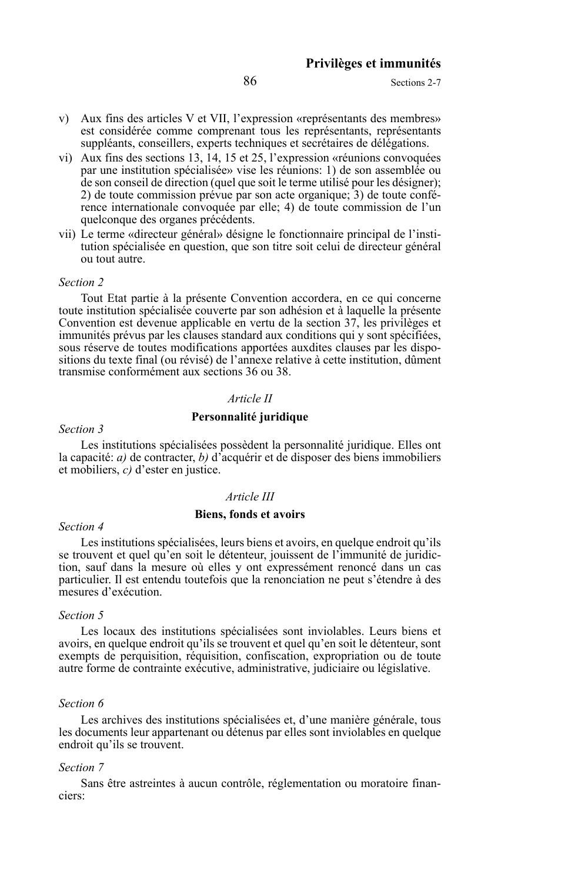Sections 2-7

- v) Aux fins des articles V et VII, l'expression «représentants des membres» est considérée comme comprenant tous les représentants, représentants suppléants, conseillers, experts techniques et secrétaires de délégations.
- vi) Aux fins des sections 13, 14, 15 et 25, l'expression «réunions convoquées par une institution spécialisée» vise les réunions: 1) de son assemblée ou de son conseil de direction (quel que soit le terme utilisé pour les désigner); 2) de toute commission prévue par son acte organique; 3) de toute conférence internationale convoquée par elle; 4) de toute commission de l'un quelconque des organes précédents.
- vii) Le terme «directeur général» désigne le fonctionnaire principal de l'institution spécialisée en question, que son titre soit celui de directeur général ou tout autre.

### *Section 2*

Tout Etat partie à la présente Convention accordera, en ce qui concerne toute institution spécialisée couverte par son adhésion et à laquelle la présente Convention est devenue applicable en vertu de la section 37, les privilèges et immunités prévus par les clauses standard aux conditions qui y sont spécifiées, sous réserve de toutes modifications apportées auxdites clauses par les dispositions du texte final (ou révisé) de l'annexe relative à cette institution, dûment transmise conformément aux sections 36 ou 38.

# *Article II*

### **Personnalité juridique**

### *Section 3*

Les institutions spécialisées possèdent la personnalité juridique. Elles ont la capacité: *a)* de contracter, *b)* d'acquérir et de disposer des biens immobiliers et mobiliers, *c)* d'ester en justice.

### *Article III*

### **Biens, fonds et avoirs**

## *Section 4*

Les institutions spécialisées, leurs biens et avoirs, en quelque endroit qu'ils se trouvent et quel qu'en soit le détenteur, jouissent de l'immunité de juridiction, sauf dans la mesure où elles y ont expressément renoncé dans un cas particulier. Il est entendu toutefois que la renonciation ne peut s'étendre à des mesures d'exécution.

### *Section 5*

Les locaux des institutions spécialisées sont inviolables. Leurs biens et avoirs, en quelque endroit qu'ils se trouvent et quel qu'en soit le détenteur, sont exempts de perquisition, réquisition, confiscation, expropriation ou de toute autre forme de contrainte exécutive, administrative, judiciaire ou législative.

### *Section 6*

Les archives des institutions spécialisées et, d'une manière générale, tous les documents leur appartenant ou détenus par elles sont inviolables en quelque endroit qu'ils se trouvent.

### *Section 7*

Sans être astreintes à aucun contrôle, réglementation ou moratoire financiers: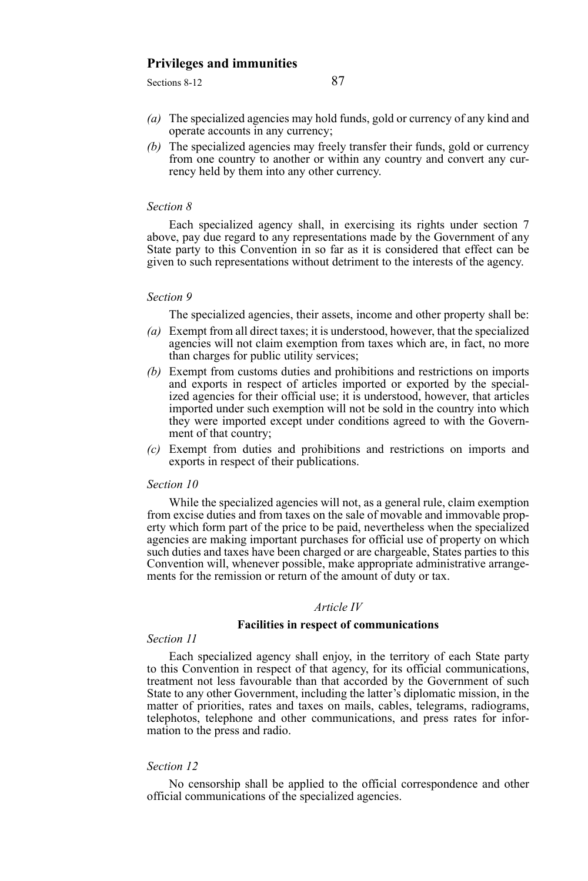Sections 8-12

87

- *(a)* The specialized agencies may hold funds, gold or currency of any kind and operate accounts in any currency;
- *(b)* The specialized agencies may freely transfer their funds, gold or currency from one country to another or within any country and convert any currency held by them into any other currency.

# *Section 8*

Each specialized agency shall, in exercising its rights under section 7 above, pay due regard to any representations made by the Government of any State party to this Convention in so far as it is considered that effect can be given to such representations without detriment to the interests of the agency.

### *Section 9*

The specialized agencies, their assets, income and other property shall be:

- *(a)* Exempt from all direct taxes; it is understood, however, that the specialized agencies will not claim exemption from taxes which are, in fact, no more than charges for public utility services;
- *(b)* Exempt from customs duties and prohibitions and restrictions on imports and exports in respect of articles imported or exported by the specialized agencies for their official use; it is understood, however, that articles imported under such exemption will not be sold in the country into which they were imported except under conditions agreed to with the Government of that country;
- *(c)* Exempt from duties and prohibitions and restrictions on imports and exports in respect of their publications.

### *Section 10*

While the specialized agencies will not, as a general rule, claim exemption from excise duties and from taxes on the sale of movable and immovable property which form part of the price to be paid, nevertheless when the specialized agencies are making important purchases for official use of property on which such duties and taxes have been charged or are chargeable, States parties to this Convention will, whenever possible, make appropriate administrative arrangements for the remission or return of the amount of duty or tax.

### *Article IV*

# **Facilities in respect of communications**

# *Section 11*

Each specialized agency shall enjoy, in the territory of each State party to this Convention in respect of that agency, for its official communications, treatment not less favourable than that accorded by the Government of such State to any other Government, including the latter's diplomatic mission, in the matter of priorities, rates and taxes on mails, cables, telegrams, radiograms, telephotos, telephone and other communications, and press rates for information to the press and radio.

### *Section 12*

No censorship shall be applied to the official correspondence and other official communications of the specialized agencies.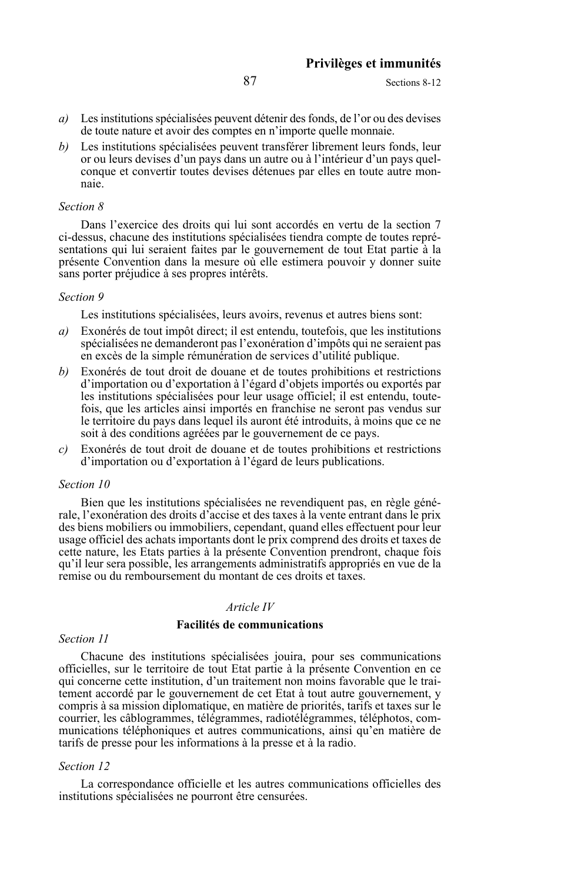Sections 8-12

- *a)* Les institutions spécialisées peuvent détenir des fonds, de l'or ou des devises de toute nature et avoir des comptes en n'importe quelle monnaie.
- *b)* Les institutions spécialisées peuvent transférer librement leurs fonds, leur or ou leurs devises d'un pays dans un autre ou à l'intérieur d'un pays quelconque et convertir toutes devises détenues par elles en toute autre monnaie.

# *Section 8*

Dans l'exercice des droits qui lui sont accordés en vertu de la section 7 ci-dessus, chacune des institutions spécialisées tiendra compte de toutes représentations qui lui seraient faites par le gouvernement de tout Etat partie à la présente Convention dans la mesure où elle estimera pouvoir y donner suite sans porter préjudice à ses propres intérêts.

#### *Section 9*

Les institutions spécialisées, leurs avoirs, revenus et autres biens sont:

- *a)* Exonérés de tout impôt direct; il est entendu, toutefois, que les institutions spécialisées ne demanderont pas l'exonération d'impôts qui ne seraient pas en excès de la simple rémunération de services d'utilité publique.
- *b)* Exonérés de tout droit de douane et de toutes prohibitions et restrictions d'importation ou d'exportation à l'égard d'objets importés ou exportés par les institutions spécialisées pour leur usage officiel; il est entendu, toutefois, que les articles ainsi importés en franchise ne seront pas vendus sur le territoire du pays dans lequel ils auront été introduits, à moins que ce ne soit à des conditions agréées par le gouvernement de ce pays.
- *c)* Exonérés de tout droit de douane et de toutes prohibitions et restrictions d'importation ou d'exportation à l'égard de leurs publications.

### *Section 10*

Bien que les institutions spécialisées ne revendiquent pas, en règle générale, l'exonération des droits d'accise et des taxes à la vente entrant dans le prix des biens mobiliers ou immobiliers, cependant, quand elles effectuent pour leur usage officiel des achats importants dont le prix comprend des droits et taxes de cette nature, les Etats parties à la présente Convention prendront, chaque fois qu'il leur sera possible, les arrangements administratifs appropriés en vue de la remise ou du remboursement du montant de ces droits et taxes.

# *Article IV*

# **Facilités de communications**

# *Section 11*

Chacune des institutions spécialisées jouira, pour ses communications officielles, sur le territoire de tout Etat partie à la présente Convention en ce qui concerne cette institution, d'un traitement non moins favorable que le traitement accordé par le gouvernement de cet Etat à tout autre gouvernement, y compris à sa mission diplomatique, en matière de priorités, tarifs et taxes sur le courrier, les câblogrammes, télégrammes, radiotélégrammes, téléphotos, communications téléphoniques et autres communications, ainsi qu'en matière de tarifs de presse pour les informations à la presse et à la radio.

### *Section 12*

La correspondance officielle et les autres communications officielles des institutions spécialisées ne pourront être censurées.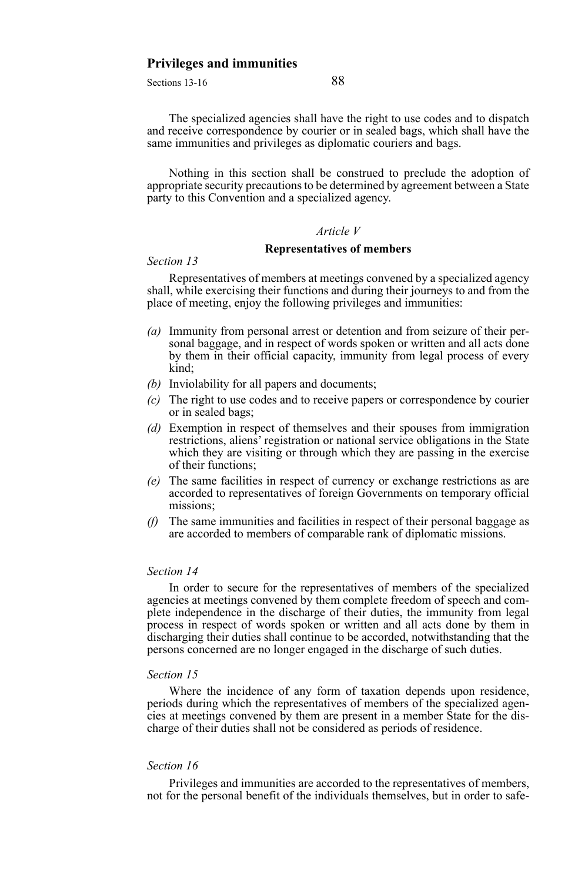Sections 13-16

88

The specialized agencies shall have the right to use codes and to dispatch and receive correspondence by courier or in sealed bags, which shall have the same immunities and privileges as diplomatic couriers and bags.

Nothing in this section shall be construed to preclude the adoption of appropriate security precautions to be determined by agreement between a State party to this Convention and a specialized agency.

# *Article V*

# **Representatives of members**

### *Section 13*

Representatives of members at meetings convened by a specialized agency shall, while exercising their functions and during their journeys to and from the place of meeting, enjoy the following privileges and immunities:

- *(a)* Immunity from personal arrest or detention and from seizure of their personal baggage, and in respect of words spoken or written and all acts done by them in their official capacity, immunity from legal process of every kind;
- *(b)* Inviolability for all papers and documents;
- *(c)* The right to use codes and to receive papers or correspondence by courier or in sealed bags;
- *(d)* Exemption in respect of themselves and their spouses from immigration restrictions, aliens' registration or national service obligations in the State which they are visiting or through which they are passing in the exercise of their functions;
- *(e)* The same facilities in respect of currency or exchange restrictions as are accorded to representatives of foreign Governments on temporary official missions;
- *(f)* The same immunities and facilities in respect of their personal baggage as are accorded to members of comparable rank of diplomatic missions.

# *Section 14*

In order to secure for the representatives of members of the specialized agencies at meetings convened by them complete freedom of speech and complete independence in the discharge of their duties, the immunity from legal process in respect of words spoken or written and all acts done by them in discharging their duties shall continue to be accorded, notwithstanding that the persons concerned are no longer engaged in the discharge of such duties.

# *Section 15*

Where the incidence of any form of taxation depends upon residence, periods during which the representatives of members of the specialized agencies at meetings convened by them are present in a member State for the discharge of their duties shall not be considered as periods of residence.

# *Section 16*

Privileges and immunities are accorded to the representatives of members, not for the personal benefit of the individuals themselves, but in order to safe-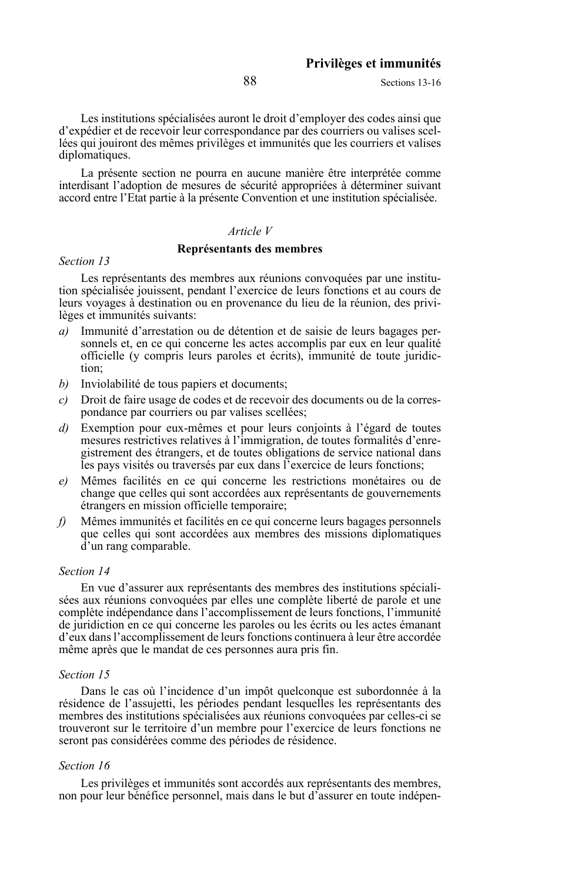# **Privilèges et immunités**

88

Sections 13-16

Les institutions spécialisées auront le droit d'employer des codes ainsi que d'expédier et de recevoir leur correspondance par des courriers ou valises scellées qui jouiront des mêmes privilèges et immunités que les courriers et valises diplomatiques.

La présente section ne pourra en aucune manière être interprétée comme interdisant l'adoption de mesures de sécurité appropriées à déterminer suivant accord entre l'Etat partie à la présente Convention et une institution spécialisée.

# *Article V*

# **Représentants des membres**

#### *Section 13*

Les représentants des membres aux réunions convoquées par une institution spécialisée jouissent, pendant l'exercice de leurs fonctions et au cours de leurs voyages à destination ou en provenance du lieu de la réunion, des privilèges et immunités suivants:

- *a)* Immunité d'arrestation ou de détention et de saisie de leurs bagages personnels et, en ce qui concerne les actes accomplis par eux en leur qualité officielle (y compris leurs paroles et écrits), immunité de toute juridiction;
- *b)* Inviolabilité de tous papiers et documents;
- *c)* Droit de faire usage de codes et de recevoir des documents ou de la correspondance par courriers ou par valises scellées;
- *d)* Exemption pour eux-mêmes et pour leurs conjoints à l'égard de toutes mesures restrictives relatives à l'immigration, de toutes formalités d'enregistrement des étrangers, et de toutes obligations de service national dans les pays visités ou traversés par eux dans l'exercice de leurs fonctions;
- *e)* Mêmes facilités en ce qui concerne les restrictions monétaires ou de change que celles qui sont accordées aux représentants de gouvernements étrangers en mission officielle temporaire;
- *f)* Mêmes immunités et facilités en ce qui concerne leurs bagages personnels que celles qui sont accordées aux membres des missions diplomatiques d'un rang comparable.

# *Section 14*

En vue d'assurer aux représentants des membres des institutions spécialisées aux réunions convoquées par elles une complète liberté de parole et une complète indépendance dans l'accomplissement de leurs fonctions, l'immunité de juridiction en ce qui concerne les paroles ou les écrits ou les actes émanant d'eux dans l'accomplissement de leurs fonctions continuera à leur être accordée même après que le mandat de ces personnes aura pris fin.

#### *Section 15*

Dans le cas où l'incidence d'un impôt quelconque est subordonnée à la résidence de l'assujetti, les périodes pendant lesquelles les représentants des membres des institutions spécialisées aux réunions convoquées par celles-ci se trouveront sur le territoire d'un membre pour l'exercice de leurs fonctions ne seront pas considérées comme des périodes de résidence.

### *Section 16*

Les privilèges et immunités sont accordés aux représentants des membres, non pour leur bénéfice personnel, mais dans le but d'assurer en toute indépen-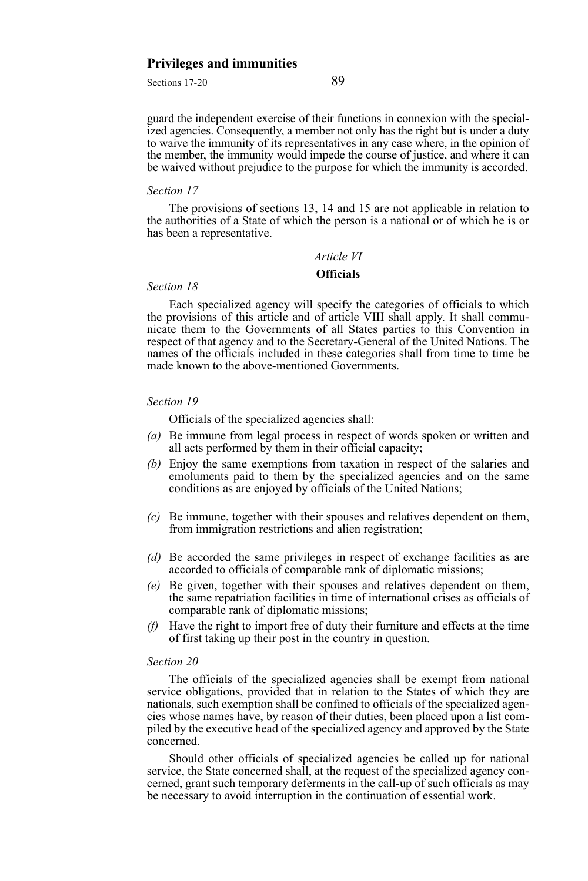Sections 17-20

89

guard the independent exercise of their functions in connexion with the specialized agencies. Consequently, a member not only has the right but is under a duty to waive the immunity of its representatives in any case where, in the opinion of the member, the immunity would impede the course of justice, and where it can be waived without prejudice to the purpose for which the immunity is accorded.

### *Section 17*

The provisions of sections 13, 14 and 15 are not applicable in relation to the authorities of a State of which the person is a national or of which he is or has been a representative.

# *Article VI*

# **Officials**

# *Section 18*

Each specialized agency will specify the categories of officials to which the provisions of this article and of article VIII shall apply. It shall communicate them to the Governments of all States parties to this Convention in respect of that agency and to the Secretary-General of the United Nations. The names of the officials included in these categories shall from time to time be made known to the above-mentioned Governments.

### *Section 19*

Officials of the specialized agencies shall:

- *(a)* Be immune from legal process in respect of words spoken or written and all acts performed by them in their official capacity;
- *(b)* Enjoy the same exemptions from taxation in respect of the salaries and emoluments paid to them by the specialized agencies and on the same conditions as are enjoyed by officials of the United Nations;
- *(c)* Be immune, together with their spouses and relatives dependent on them, from immigration restrictions and alien registration;
- *(d)* Be accorded the same privileges in respect of exchange facilities as are accorded to officials of comparable rank of diplomatic missions;
- *(e)* Be given, together with their spouses and relatives dependent on them, the same repatriation facilities in time of international crises as officials of comparable rank of diplomatic missions;
- *(f)* Have the right to import free of duty their furniture and effects at the time of first taking up their post in the country in question.

### *Section 20*

The officials of the specialized agencies shall be exempt from national service obligations, provided that in relation to the States of which they are nationals, such exemption shall be confined to officials of the specialized agencies whose names have, by reason of their duties, been placed upon a list compiled by the executive head of the specialized agency and approved by the State concerned.

Should other officials of specialized agencies be called up for national service, the State concerned shall, at the request of the specialized agency concerned, grant such temporary deferments in the call-up of such officials as may be necessary to avoid interruption in the continuation of essential work.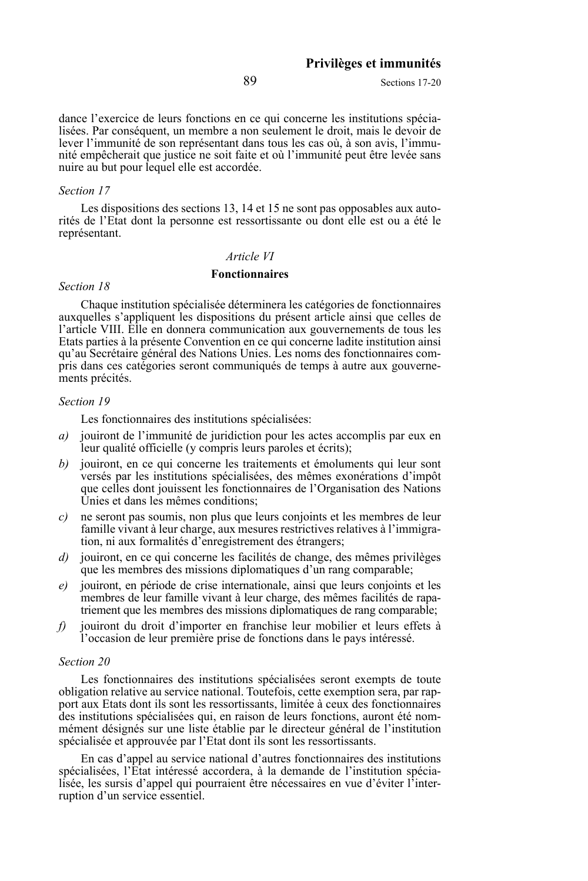# **Privilèges et immunités**

89

### Sections 17-20

dance l'exercice de leurs fonctions en ce qui concerne les institutions spécialisées. Par conséquent, un membre a non seulement le droit, mais le devoir de lever l'immunité de son représentant dans tous les cas où, à son avis, l'immunité empêcherait que justice ne soit faite et où l'immunité peut être levée sans nuire au but pour lequel elle est accordée.

### *Section 17*

Les dispositions des sections 13, 14 et 15 ne sont pas opposables aux autorités de l'Etat dont la personne est ressortissante ou dont elle est ou a été le représentant.

# *Article VI*

# **Fonctionnaires**

# *Section 18*

Chaque institution spécialisée déterminera les catégories de fonctionnaires auxquelles s'appliquent les dispositions du présent article ainsi que celles de l'article VIII. Elle en donnera communication aux gouvernements de tous les Etats parties à la présente Convention en ce qui concerne ladite institution ainsi qu'au Secrétaire général des Nations Unies. Les noms des fonctionnaires compris dans ces catégories seront communiqués de temps à autre aux gouvernements précités.

#### *Section 19*

Les fonctionnaires des institutions spécialisées:

- *a)* jouiront de l'immunité de juridiction pour les actes accomplis par eux en leur qualité officielle (y compris leurs paroles et écrits);
- *b)* jouiront, en ce qui concerne les traitements et émoluments qui leur sont versés par les institutions spécialisées, des mêmes exonérations d'impôt que celles dont jouissent les fonctionnaires de l'Organisation des Nations Unies et dans les mêmes conditions;
- *c)* ne seront pas soumis, non plus que leurs conjoints et les membres de leur famille vivant à leur charge, aux mesures restrictives relatives à l'immigration, ni aux formalités d'enregistrement des étrangers;
- *d)* jouiront, en ce qui concerne les facilités de change, des mêmes privilèges que les membres des missions diplomatiques d'un rang comparable;
- *e)* jouiront, en période de crise internationale, ainsi que leurs conjoints et les membres de leur famille vivant à leur charge, des mêmes facilités de rapatriement que les membres des missions diplomatiques de rang comparable;
- *f)* jouiront du droit d'importer en franchise leur mobilier et leurs effets à l'occasion de leur première prise de fonctions dans le pays intéressé.

#### *Section 20*

Les fonctionnaires des institutions spécialisées seront exempts de toute obligation relative au service national. Toutefois, cette exemption sera, par rapport aux Etats dont ils sont les ressortissants, limitée à ceux des fonctionnaires des institutions spécialisées qui, en raison de leurs fonctions, auront été nommément désignés sur une liste établie par le directeur général de l'institution spécialisée et approuvée par l'Etat dont ils sont les ressortissants.

En cas d'appel au service national d'autres fonctionnaires des institutions spécialisées, l'Etat intéressé accordera, à la demande de l'institution spécialisée, les sursis d'appel qui pourraient être nécessaires en vue d'éviter l'interruption d'un service essentiel.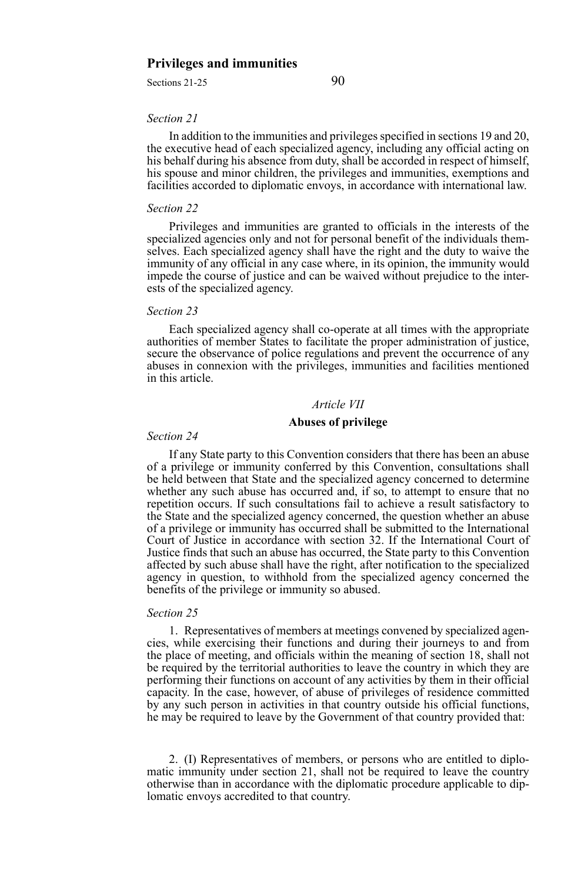Sections 21-25

90

### *Section 21*

In addition to the immunities and privileges specified in sections 19 and 20, the executive head of each specialized agency, including any official acting on his behalf during his absence from duty, shall be accorded in respect of himself, his spouse and minor children, the privileges and immunities, exemptions and facilities accorded to diplomatic envoys, in accordance with international law.

### *Section 22*

Privileges and immunities are granted to officials in the interests of the specialized agencies only and not for personal benefit of the individuals themselves. Each specialized agency shall have the right and the duty to waive the immunity of any official in any case where, in its opinion, the immunity would impede the course of justice and can be waived without prejudice to the interests of the specialized agency.

### *Section 23*

Each specialized agency shall co-operate at all times with the appropriate authorities of member States to facilitate the proper administration of justice, secure the observance of police regulations and prevent the occurrence of any abuses in connexion with the privileges, immunities and facilities mentioned in this article.

# *Article VII*

### **Abuses of privilege**

### *Section 24*

If any State party to this Convention considers that there has been an abuse of a privilege or immunity conferred by this Convention, consultations shall be held between that State and the specialized agency concerned to determine whether any such abuse has occurred and, if so, to attempt to ensure that no repetition occurs. If such consultations fail to achieve a result satisfactory to the State and the specialized agency concerned, the question whether an abuse of a privilege or immunity has occurred shall be submitted to the International Court of Justice in accordance with section 32. If the International Court of Justice finds that such an abuse has occurred, the State party to this Convention affected by such abuse shall have the right, after notification to the specialized agency in question, to withhold from the specialized agency concerned the benefits of the privilege or immunity so abused.

### *Section 25*

1. Representatives of members at meetings convened by specialized agencies, while exercising their functions and during their journeys to and from the place of meeting, and officials within the meaning of section 18, shall not be required by the territorial authorities to leave the country in which they are performing their functions on account of any activities by them in their official capacity. In the case, however, of abuse of privileges of residence committed by any such person in activities in that country outside his official functions, he may be required to leave by the Government of that country provided that:

2. (I) Representatives of members, or persons who are entitled to diplomatic immunity under section 21, shall not be required to leave the country otherwise than in accordance with the diplomatic procedure applicable to diplomatic envoys accredited to that country.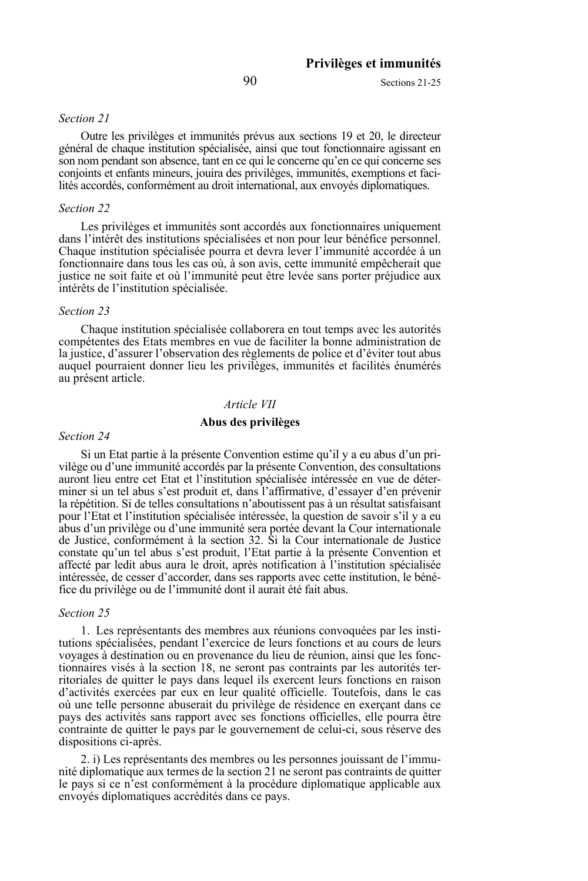Sections 21-25

### *Section 21*

Outre les privilèges et immunités prévus aux sections 19 et 20, le directeur général de chaque institution spécialisée, ainsi que tout fonctionnaire agissant en son nom pendant son absence, tant en ce qui le concerne qu'en ce qui concerne ses conjoints et enfants mineurs, jouira des privilèges, immunités, exemptions et facilités accordés, conformément au droit international, aux envoyés diplomatiques.

# *Section 22*

Les privilèges et immunités sont accordés aux fonctionnaires uniquement dans l'intérêt des institutions spécialisées et non pour leur bénéfice personnel. Chaque institution spécialisée pourra et devra lever l'immunité accordée à un fonctionnaire dans tous les cas où, à son avis, cette immunité empêcherait que justice ne soit faite et où l'immunité peut être levée sans porter préjudice aux intérêts de l'institution spécialisée.

### *Section 23*

Chaque institution spécialisée collaborera en tout temps avec les autorités compétentes des Etats membres en vue de faciliter la bonne administration de la justice, d'assurer l'observation des règlements de police et d'éviter tout abus auquel pourraient donner lieu les privilèges, immunités et facilités énumérés au présent article.

# *Article VII*

# **Abus des privilèges**

### *Section 24*

Si un Etat partie à la présente Convention estime qu'il y a eu abus d'un privilège ou d'une immunité accordés par la présente Convention, des consultations auront lieu entre cet Etat et l'institution spécialisée intéressée en vue de déterminer si un tel abus s'est produit et, dans l'affirmative, d'essayer d'en prévenir la répétition. Si de telles consultations n'aboutissent pas à un résultat satisfaisant pour l'Etat et l'institution spécialisée intéressée, la question de savoir s'il y a eu abus d'un privilège ou d'une immunité sera portée devant la Cour internationale de Justice, conformément à la section 32. Si la Cour internationale de Justice constate qu'un tel abus s'est produit, l'Etat partie à la présente Convention et affecté par ledit abus aura le droit, après notification à l'institution spécialisée intéressée, de cesser d'accorder, dans ses rapports avec cette institution, le bénéfice du privilège ou de l'immunité dont il aurait été fait abus.

#### *Section 25*

1. Les représentants des membres aux réunions convoquées par les institutions spécialisées, pendant l'exercice de leurs fonctions et au cours de leurs voyages à destination ou en provenance du lieu de réunion, ainsi que les fonctionnaires visés à la section 18, ne seront pas contraints par les autorités territoriales de quitter le pays dans lequel ils exercent leurs fonctions en raison d'activités exercées par eux en leur qualité officielle. Toutefois, dans le cas où une telle personne abuserait du privilège de résidence en exerçant dans ce pays des activités sans rapport avec ses fonctions officielles, elle pourra être contrainte de quitter le pays par le gouvernement de celui-ci, sous réserve des dispositions ci-après.

2. i) Les représentants des membres ou les personnes jouissant de l'immunité diplomatique aux termes de la section 21 ne seront pas contraints de quitter le pays si ce n'est conformément à la procédure diplomatique applicable aux envoyés diplomatiques accrédités dans ce pays.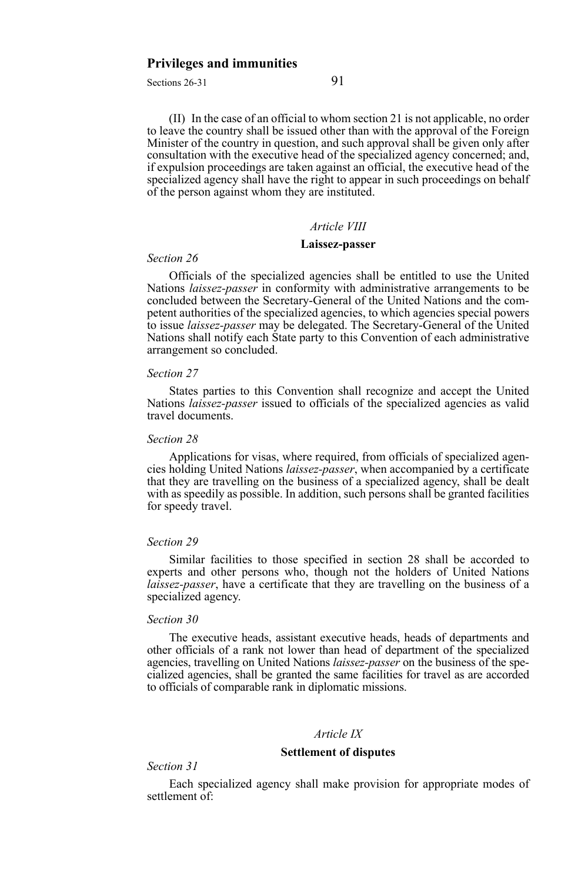Sections 26-31

# 91

(II) In the case of an official to whom section 21 is not applicable, no order to leave the country shall be issued other than with the approval of the Foreign Minister of the country in question, and such approval shall be given only after consultation with the executive head of the specialized agency concerned; and, if expulsion proceedings are taken against an official, the executive head of the specialized agency shall have the right to appear in such proceedings on behalf of the person against whom they are instituted.

# *Article VIII*

### **Laissez-passer**

### *Section 26*

Officials of the specialized agencies shall be entitled to use the United Nations *laissez-passer* in conformity with administrative arrangements to be concluded between the Secretary-General of the United Nations and the competent authorities of the specialized agencies, to which agencies special powers to issue *laissez-passer* may be delegated. The Secretary-General of the United Nations shall notify each State party to this Convention of each administrative arrangement so concluded.

### *Section 27*

States parties to this Convention shall recognize and accept the United Nations *laissez-passer* issued to officials of the specialized agencies as valid travel documents.

## *Section 28*

Applications for visas, where required, from officials of specialized agencies holding United Nations *laissez-passer*, when accompanied by a certificate that they are travelling on the business of a specialized agency, shall be dealt with as speedily as possible. In addition, such persons shall be granted facilities for speedy travel.

### *Section 29*

Similar facilities to those specified in section 28 shall be accorded to experts and other persons who, though not the holders of United Nations *laissez-passer*, have a certificate that they are travelling on the business of a specialized agency.

### *Section 30*

The executive heads, assistant executive heads, heads of departments and other officials of a rank not lower than head of department of the specialized agencies, travelling on United Nations *laissez-passer* on the business of the specialized agencies, shall be granted the same facilities for travel as are accorded to officials of comparable rank in diplomatic missions.

#### *Article IX*

### **Settlement of disputes**

### *Section 31*

Each specialized agency shall make provision for appropriate modes of settlement of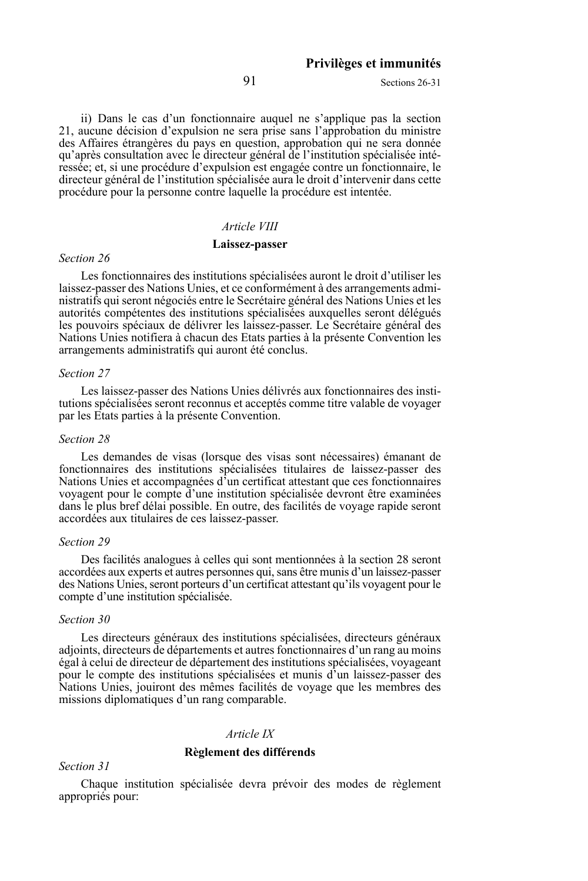# **Privilèges et immunités**

91

Sections 26-31

ii) Dans le cas d'un fonctionnaire auquel ne s'applique pas la section 21, aucune décision d'expulsion ne sera prise sans l'approbation du ministre des Affaires étrangères du pays en question, approbation qui ne sera donnée qu'après consultation avec le directeur général de l'institution spécialisée intéressée; et, si une procédure d'expulsion est engagée contre un fonctionnaire, le directeur général de l'institution spécialisée aura le droit d'intervenir dans cette procédure pour la personne contre laquelle la procédure est intentée.

# *Article VIII*

# **Laissez-passer**

### *Section 26*

Les fonctionnaires des institutions spécialisées auront le droit d'utiliser les laissez-passer des Nations Unies, et ce conformément à des arrangements administratifs qui seront négociés entre le Secrétaire général des Nations Unies et les autorités compétentes des institutions spécialisées auxquelles seront délégués les pouvoirs spéciaux de délivrer les laissez-passer. Le Secrétaire général des Nations Unies notifiera à chacun des Etats parties à la présente Convention les arrangements administratifs qui auront été conclus.

# *Section 27*

Les laissez-passer des Nations Unies délivrés aux fonctionnaires des institutions spécialisées seront reconnus et acceptés comme titre valable de voyager par les Etats parties à la présente Convention.

## *Section 28*

Les demandes de visas (lorsque des visas sont nécessaires) émanant de fonctionnaires des institutions spécialisées titulaires de laissez-passer des Nations Unies et accompagnées d'un certificat attestant que ces fonctionnaires voyagent pour le compte d'une institution spécialisée devront être examinées dans le plus bref délai possible. En outre, des facilités de voyage rapide seront accordées aux titulaires de ces laissez-passer.

### *Section 29*

Des facilités analogues à celles qui sont mentionnées à la section 28 seront accordées aux experts et autres personnes qui, sans être munis d'un laissez-passer des Nations Unies, seront porteurs d'un certificat attestant qu'ils voyagent pour le compte d'une institution spécialisée.

### *Section 30*

Les directeurs généraux des institutions spécialisées, directeurs généraux adjoints, directeurs de départements et autres fonctionnaires d'un rang au moins égal à celui de directeur de département des institutions spécialisées, voyageant pour le compte des institutions spécialisées et munis d'un laissez-passer des Nations Unies, jouiront des mêmes facilités de voyage que les membres des missions diplomatiques d'un rang comparable.

# *Article IX*

### **Règlement des différends**

### *Section 31*

Chaque institution spécialisée devra prévoir des modes de règlement appropriés pour: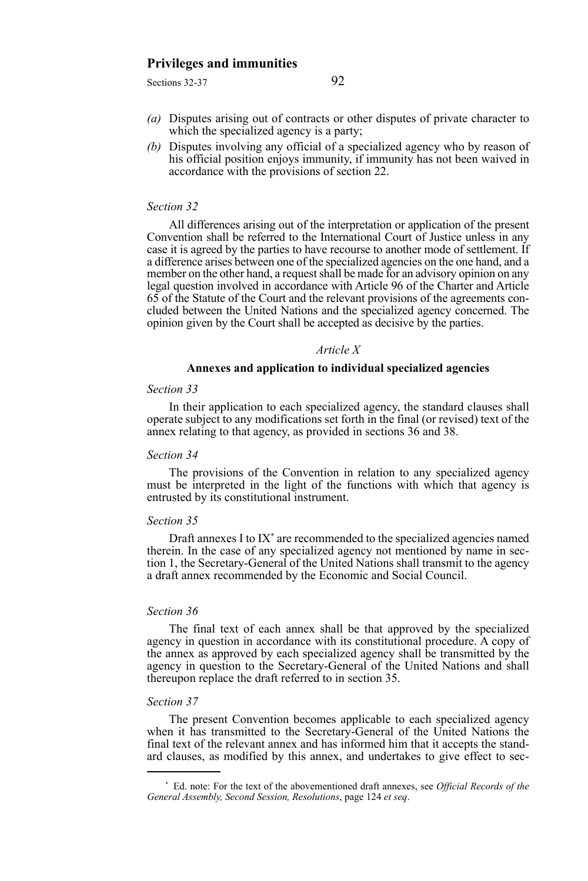Sections 32-37

92

- *(a)* Disputes arising out of contracts or other disputes of private character to which the specialized agency is a party;
- *(b)* Disputes involving any official of a specialized agency who by reason of his official position enjoys immunity, if immunity has not been waived in accordance with the provisions of section 22.

# *Section 32*

All differences arising out of the interpretation or application of the present Convention shall be referred to the International Court of Justice unless in any case it is agreed by the parties to have recourse to another mode of settlement. If a difference arises between one of the specialized agencies on the one hand, and a member on the other hand, a request shall be made for an advisory opinion on any legal question involved in accordance with Article 96 of the Charter and Article 65 of the Statute of the Court and the relevant provisions of the agreements concluded between the United Nations and the specialized agency concerned. The opinion given by the Court shall be accepted as decisive by the parties.

### *Article X*

# **Annexes and application to individual specialized agencies**

# *Section 33*

In their application to each specialized agency, the standard clauses shall operate subject to any modifications set forth in the final (or revised) text of the annex relating to that agency, as provided in sections 36 and 38.

# *Section 34*

The provisions of the Convention in relation to any specialized agency must be interpreted in the light of the functions with which that agency is entrusted by its constitutional instrument.

# *Section 35*

Draft annexes I to IX\* are recommended to the specialized agencies named therein. In the case of any specialized agency not mentioned by name in section 1, the Secretary-General of the United Nations shall transmit to the agency a draft annex recommended by the Economic and Social Council.

### *Section 36*

The final text of each annex shall be that approved by the specialized agency in question in accordance with its constitutional procedure. A copy of the annex as approved by each specialized agency shall be transmitted by the agency in question to the Secretary-General of the United Nations and shall thereupon replace the draft referred to in section 35.

#### *Section 37*

The present Convention becomes applicable to each specialized agency when it has transmitted to the Secretary-General of the United Nations the final text of the relevant annex and has informed him that it accepts the standard clauses, as modified by this annex, and undertakes to give effect to sec-

<sup>\*</sup> Ed. note: For the text of the abovementioned draft annexes, see *Official Records of the General Assembly, Second Session, Resolutions*, page 124 *et seq*.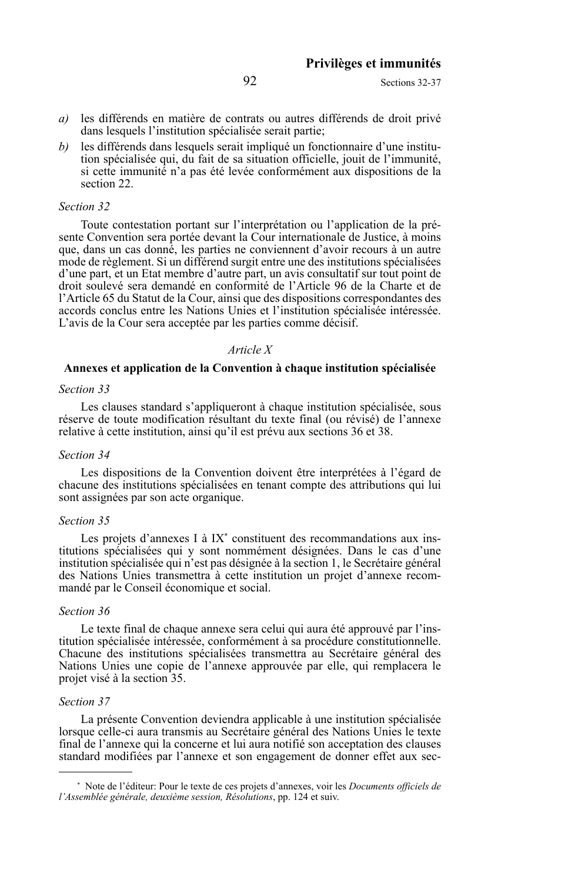Sections 32-37

- *a)* les différends en matière de contrats ou autres différends de droit privé dans lesquels l'institution spécialisée serait partie;
- *b)* les différends dans lesquels serait impliqué un fonctionnaire d'une institution spécialisée qui, du fait de sa situation officielle, jouit de l'immunité, si cette immunité n'a pas été levée conformément aux dispositions de la section 22.

# *Section 32*

Toute contestation portant sur l'interprétation ou l'application de la présente Convention sera portée devant la Cour internationale de Justice, à moins que, dans un cas donné, les parties ne conviennent d'avoir recours à un autre mode de règlement. Si un différend surgit entre une des institutions spécialisées d'une part, et un Etat membre d'autre part, un avis consultatif sur tout point de droit soulevé sera demandé en conformité de l'Article 96 de la Charte et de l'Article 65 du Statut de la Cour, ainsi que des dispositions correspondantes des accords conclus entre les Nations Unies et l'institution spécialisée intéressée. L'avis de la Cour sera acceptée par les parties comme décisif.

# *Article X*

# **Annexes et application de la Convention à chaque institution spécialisée**

# *Section 33*

Les clauses standard s'appliqueront à chaque institution spécialisée, sous réserve de toute modification résultant du texte final (ou révisé) de l'annexe relative à cette institution, ainsi qu'il est prévu aux sections 36 et 38.

# *Section 34*

Les dispositions de la Convention doivent être interprétées à l'égard de chacune des institutions spécialisées en tenant compte des attributions qui lui sont assignées par son acte organique.

# *Section 35*

Les projets d'annexes I à IX<sup>\*</sup> constituent des recommandations aux institutions spécialisées qui y sont nommément désignées. Dans le cas d'une institution spécialisée qui n'est pas désignée à la section 1, le Secrétaire général des Nations Unies transmettra à cette institution un projet d'annexe recommandé par le Conseil économique et social.

### *Section 36*

Le texte final de chaque annexe sera celui qui aura été approuvé par l'institution spécialisée intéressée, conformément à sa procédure constitutionnelle. Chacune des institutions spécialisées transmettra au Secrétaire général des Nations Unies une copie de l'annexe approuvée par elle, qui remplacera le projet visé à la section 35.

### *Section 37*

La présente Convention deviendra applicable à une institution spécialisée lorsque celle-ci aura transmis au Secrétaire général des Nations Unies le texte final de l'annexe qui la concerne et lui aura notifié son acceptation des clauses standard modifiées par l'annexe et son engagement de donner effet aux sec-

<sup>\*</sup> Note de l'éditeur: Pour le texte de ces projets d'annexes, voir les *Documents officiels de l'Assemblée générale, deuxième session, Résolutions*, pp. 124 et suiv.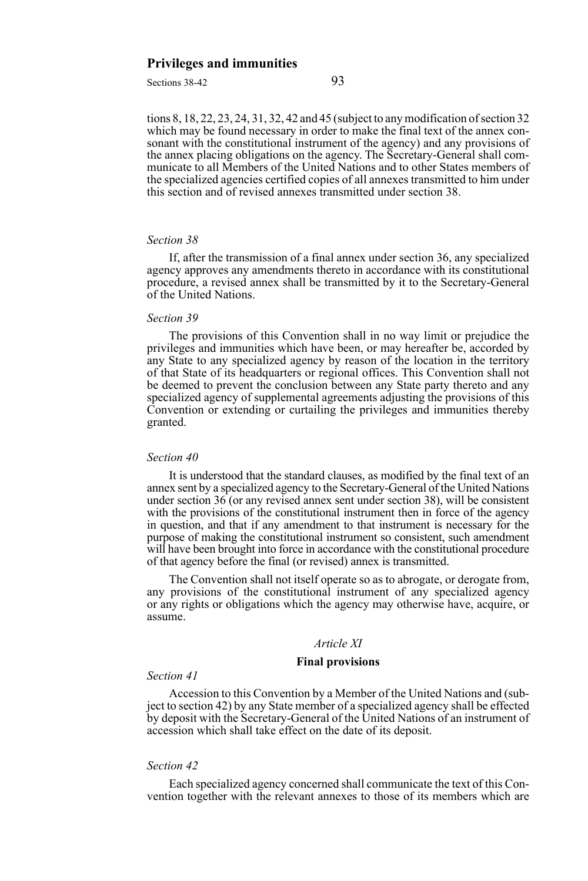Sections 38-42

# 93

tions 8, 18, 22, 23, 24, 31, 32, 42 and 45 (subject to any modification of section 32 which may be found necessary in order to make the final text of the annex consonant with the constitutional instrument of the agency) and any provisions of the annex placing obligations on the agency. The Secretary-General shall communicate to all Members of the United Nations and to other States members of the specialized agencies certified copies of all annexes transmitted to him under this section and of revised annexes transmitted under section 38.

### *Section 38*

If, after the transmission of a final annex under section 36, any specialized agency approves any amendments thereto in accordance with its constitutional procedure, a revised annex shall be transmitted by it to the Secretary-General of the United Nations.

### *Section 39*

The provisions of this Convention shall in no way limit or prejudice the privileges and immunities which have been, or may hereafter be, accorded by any State to any specialized agency by reason of the location in the territory of that State of its headquarters or regional offices. This Convention shall not be deemed to prevent the conclusion between any State party thereto and any specialized agency of supplemental agreements adjusting the provisions of this Convention or extending or curtailing the privileges and immunities thereby granted.

### *Section 40*

It is understood that the standard clauses, as modified by the final text of an annex sent by a specialized agency to the Secretary-General of the United Nations under section  $36$  (or any revised annex sent under section 38), will be consistent with the provisions of the constitutional instrument then in force of the agency in question, and that if any amendment to that instrument is necessary for the purpose of making the constitutional instrument so consistent, such amendment will have been brought into force in accordance with the constitutional procedure of that agency before the final (or revised) annex is transmitted.

The Convention shall not itself operate so as to abrogate, or derogate from, any provisions of the constitutional instrument of any specialized agency or any rights or obligations which the agency may otherwise have, acquire, or assume.

### *Article XI*

#### **Final provisions**

#### *Section 41*

Accession to this Convention by a Member of the United Nations and (subject to section 42) by any State member of a specialized agency shall be effected by deposit with the Secretary-General of the United Nations of an instrument of accession which shall take effect on the date of its deposit.

### *Section 42*

Each specialized agency concerned shall communicate the text of this Convention together with the relevant annexes to those of its members which are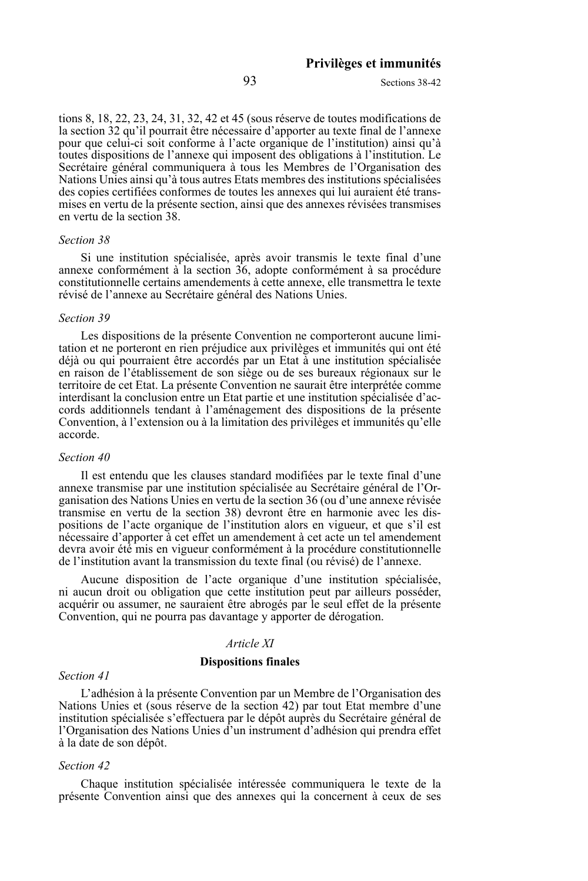Sections 38-42

tions 8, 18, 22, 23, 24, 31, 32, 42 et 45 (sous réserve de toutes modifications de la section 32 qu'il pourrait être nécessaire d'apporter au texte final de l'annexe pour que celui-ci soit conforme à l'acte organique de l'institution) ainsi qu'à toutes dispositions de l'annexe qui imposent des obligations à l'institution. Le Secrétaire général communiquera à tous les Membres de l'Organisation des Nations Unies ainsi qu'à tous autres Etats membres des institutions spécialisées des copies certifiées conformes de toutes les annexes qui lui auraient été transmises en vertu de la présente section, ainsi que des annexes révisées transmises en vertu de la section 38.

# *Section 38*

Si une institution spécialisée, après avoir transmis le texte final d'une annexe conformément à la section 36, adopte conformément à sa procédure constitutionnelle certains amendements à cette annexe, elle transmettra le texte révisé de l'annexe au Secrétaire général des Nations Unies.

### *Section 39*

Les dispositions de la présente Convention ne comporteront aucune limitation et ne porteront en rien préjudice aux privilèges et immunités qui ont été déjà ou qui pourraient être accordés par un Etat à une institution spécialisée en raison de l'établissement de son siège ou de ses bureaux régionaux sur le territoire de cet Etat. La présente Convention ne saurait être interprétée comme interdisant la conclusion entre un Etat partie et une institution spécialisée d'accords additionnels tendant à l'aménagement des dispositions de la présente Convention, à l'extension ou à la limitation des privilèges et immunités qu'elle accorde.

# *Section 40*

Il est entendu que les clauses standard modifiées par le texte final d'une annexe transmise par une institution spécialisée au Secrétaire général de l'Organisation des Nations Unies en vertu de la section 36 (ou d'une annexe révisée transmise en vertu de la section 38) devront être en harmonie avec les dispositions de l'acte organique de l'institution alors en vigueur, et que s'il est nécessaire d'apporter à cet effet un amendement à cet acte un tel amendement devra avoir été mis en vigueur conformément à la procédure constitutionnelle de l'institution avant la transmission du texte final (ou révisé) de l'annexe.

Aucune disposition de l'acte organique d'une institution spécialisée, ni aucun droit ou obligation que cette institution peut par ailleurs posséder, acquérir ou assumer, ne sauraient être abrogés par le seul effet de la présente Convention, qui ne pourra pas davantage y apporter de dérogation.

# *Article XI*

# **Dispositions finales**

### *Section 41*

L'adhésion à la présente Convention par un Membre de l'Organisation des Nations Unies et (sous réserve de la section 42) par tout Etat membre d'une institution spécialisée s'effectuera par le dépôt auprès du Secrétaire général de l'Organisation des Nations Unies d'un instrument d'adhésion qui prendra effet à la date de son dépôt.

### *Section 42*

Chaque institution spécialisée intéressée communiquera le texte de la présente Convention ainsi que des annexes qui la concernent à ceux de ses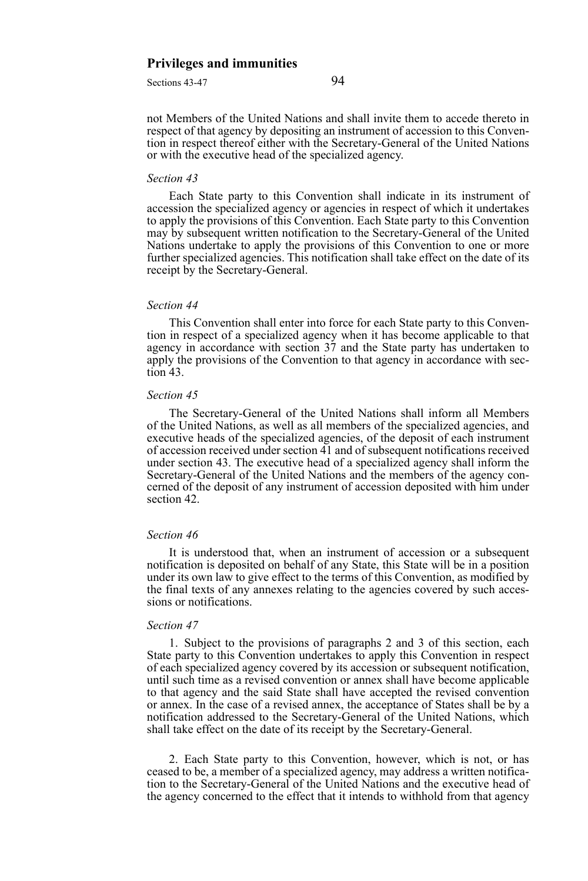Sections 43-47

94

not Members of the United Nations and shall invite them to accede thereto in respect of that agency by depositing an instrument of accession to this Convention in respect thereof either with the Secretary-General of the United Nations or with the executive head of the specialized agency.

### *Section 43*

Each State party to this Convention shall indicate in its instrument of accession the specialized agency or agencies in respect of which it undertakes to apply the provisions of this Convention. Each State party to this Convention may by subsequent written notification to the Secretary-General of the United Nations undertake to apply the provisions of this Convention to one or more further specialized agencies. This notification shall take effect on the date of its receipt by the Secretary-General.

### *Section 44*

This Convention shall enter into force for each State party to this Convention in respect of a specialized agency when it has become applicable to that agency in accordance with section 37 and the State party has undertaken to apply the provisions of the Convention to that agency in accordance with section 43.

## *Section 45*

The Secretary-General of the United Nations shall inform all Members of the United Nations, as well as all members of the specialized agencies, and executive heads of the specialized agencies, of the deposit of each instrument of accession received under section 41 and of subsequent notifications received under section 43. The executive head of a specialized agency shall inform the Secretary-General of the United Nations and the members of the agency concerned of the deposit of any instrument of accession deposited with him under section 42.

### *Section 46*

It is understood that, when an instrument of accession or a subsequent notification is deposited on behalf of any State, this State will be in a position under its own law to give effect to the terms of this Convention, as modified by the final texts of any annexes relating to the agencies covered by such accessions or notifications.

### *Section 47*

1. Subject to the provisions of paragraphs 2 and 3 of this section, each State party to this Convention undertakes to apply this Convention in respect of each specialized agency covered by its accession or subsequent notification, until such time as a revised convention or annex shall have become applicable to that agency and the said State shall have accepted the revised convention or annex. In the case of a revised annex, the acceptance of States shall be by a notification addressed to the Secretary-General of the United Nations, which shall take effect on the date of its receipt by the Secretary-General.

2. Each State party to this Convention, however, which is not, or has ceased to be, a member of a specialized agency, may address a written notification to the Secretary-General of the United Nations and the executive head of the agency concerned to the effect that it intends to withhold from that agency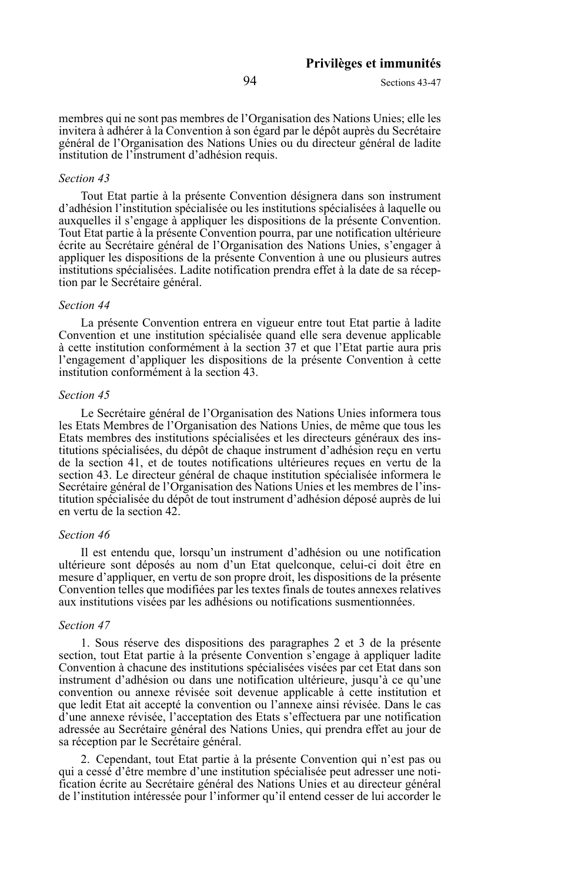### Sections 43-47

membres qui ne sont pas membres de l'Organisation des Nations Unies; elle les invitera à adhérer à la Convention à son égard par le dépôt auprès du Secrétaire général de l'Organisation des Nations Unies ou du directeur général de ladite institution de l'instrument d'adhésion requis.

### *Section 43*

Tout Etat partie à la présente Convention désignera dans son instrument d'adhésion l'institution spécialisée ou les institutions spécialisées à laquelle ou auxquelles il s'engage à appliquer les dispositions de la présente Convention. Tout Etat partie à la présente Convention pourra, par une notification ultérieure écrite au Secrétaire général de l'Organisation des Nations Unies, s'engager à appliquer les dispositions de la présente Convention à une ou plusieurs autres institutions spécialisées. Ladite notification prendra effet à la date de sa réception par le Secrétaire général.

#### *Section 44*

La présente Convention entrera en vigueur entre tout Etat partie à ladite Convention et une institution spécialisée quand elle sera devenue applicable à cette institution conformément à la section 37 et que l'Etat partie aura pris l'engagement d'appliquer les dispositions de la présente Convention à cette institution conformément à la section 43.

#### *Section 45*

Le Secrétaire général de l'Organisation des Nations Unies informera tous les Etats Membres de l'Organisation des Nations Unies, de même que tous les Etats membres des institutions spécialisées et les directeurs généraux des institutions spécialisées, du dépôt de chaque instrument d'adhésion reçu en vertu de la section 41, et de toutes notifications ultérieures reçues en vertu de la section 43. Le directeur général de chaque institution spécialisée informera le Secrétaire général de l'Organisation des Nations Unies et les membres de l'institution spécialisée du dépôt de tout instrument d'adhésion déposé auprès de lui en vertu de la section 42.

### *Section 46*

Il est entendu que, lorsqu'un instrument d'adhésion ou une notification ultérieure sont déposés au nom d'un Etat quelconque, celui-ci doit être en mesure d'appliquer, en vertu de son propre droit, les dispositions de la présente Convention telles que modifiées par les textes finals de toutes annexes relatives aux institutions visées par les adhésions ou notifications susmentionnées.

#### *Section 47*

1. Sous réserve des dispositions des paragraphes 2 et 3 de la présente section, tout Etat partie à la présente Convention s'engage à appliquer ladite Convention à chacune des institutions spécialisées visées par cet Etat dans son instrument d'adhésion ou dans une notification ultérieure, jusqu'à ce qu'une convention ou annexe révisée soit devenue applicable à cette institution et que ledit Etat ait accepté la convention ou l'annexe ainsi révisée. Dans le cas d'une annexe révisée, l'acceptation des Etats s'effectuera par une notification adressée au Secrétaire général des Nations Unies, qui prendra effet au jour de sa réception par le Secrétaire général.

2. Cependant, tout Etat partie à la présente Convention qui n'est pas ou qui a cessé d'être membre d'une institution spécialisée peut adresser une notification écrite au Secrétaire général des Nations Unies et au directeur général de l'institution intéressée pour l'informer qu'il entend cesser de lui accorder le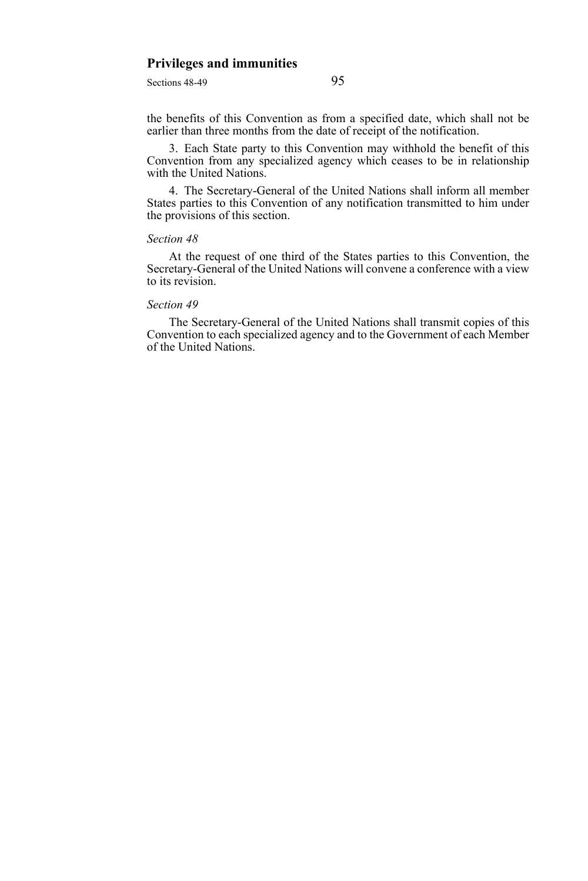Sections 48-49

the benefits of this Convention as from a specified date, which shall not be earlier than three months from the date of receipt of the notification.

3. Each State party to this Convention may withhold the benefit of this Convention from any specialized agency which ceases to be in relationship with the United Nations.

4. The Secretary-General of the United Nations shall inform all member States parties to this Convention of any notification transmitted to him under the provisions of this section.

### *Section 48*

At the request of one third of the States parties to this Convention, the Secretary-General of the United Nations will convene a conference with a view to its revision.

# *Section 49*

The Secretary-General of the United Nations shall transmit copies of this Convention to each specialized agency and to the Government of each Member of the United Nations.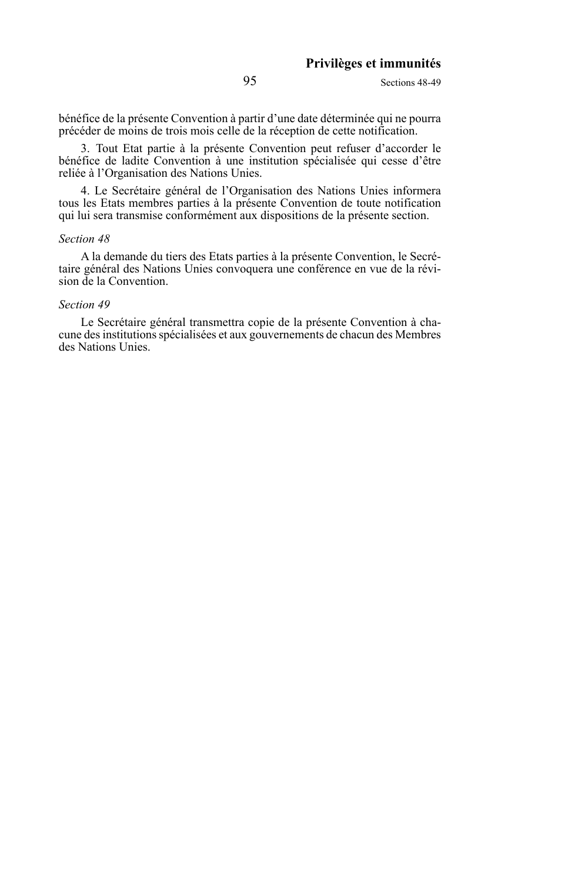# **Privilèges et immunités**

Sections 48-49

bénéfice de la présente Convention à partir d'une date déterminée qui ne pourra précéder de moins de trois mois celle de la réception de cette notification.

3. Tout Etat partie à la présente Convention peut refuser d'accorder le bénéfice de ladite Convention à une institution spécialisée qui cesse d'être reliée à l'Organisation des Nations Unies.

4. Le Secrétaire général de l'Organisation des Nations Unies informera tous les Etats membres parties à la présente Convention de toute notification qui lui sera transmise conformément aux dispositions de la présente section.

### *Section 48*

A la demande du tiers des Etats parties à la présente Convention, le Secrétaire général des Nations Unies convoquera une conférence en vue de la révision de la Convention.

### *Section 49*

Le Secrétaire général transmettra copie de la présente Convention à chacune des institutions spécialisées et aux gouvernements de chacun des Membres des Nations Unies.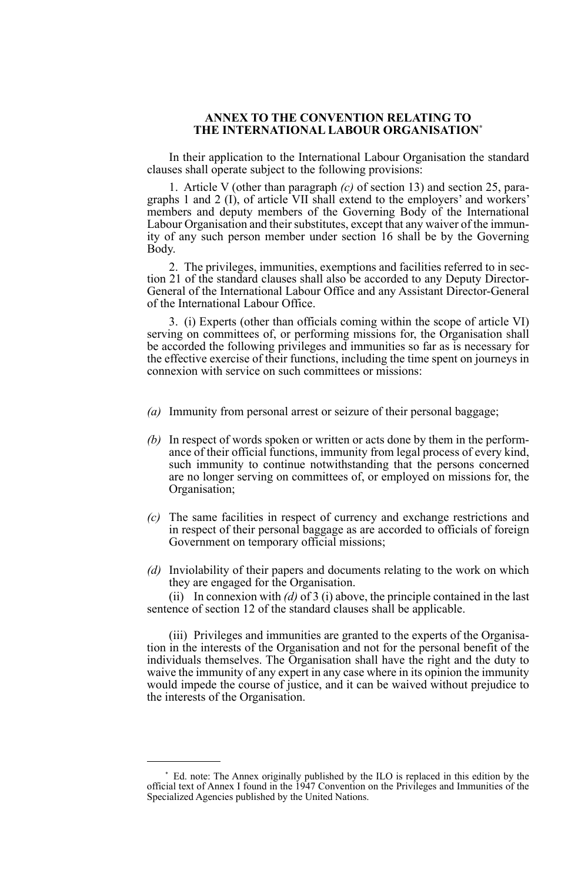# **ANNEX TO THE CONVENTION RELATING TO THE INTERNATIONAL LABOUR ORGANISATION\***

In their application to the International Labour Organisation the standard clauses shall operate subject to the following provisions:

1. Article V (other than paragraph *(c)* of section 13) and section 25, paragraphs 1 and 2 (I), of article VII shall extend to the employers' and workers' members and deputy members of the Governing Body of the International Labour Organisation and their substitutes, except that any waiver of the immunity of any such person member under section 16 shall be by the Governing Body.

2. The privileges, immunities, exemptions and facilities referred to in section 21 of the standard clauses shall also be accorded to any Deputy Director-General of the International Labour Office and any Assistant Director-General of the International Labour Office.

3. (i) Experts (other than officials coming within the scope of article VI) serving on committees of, or performing missions for, the Organisation shall be accorded the following privileges and immunities so far as is necessary for the effective exercise of their functions, including the time spent on journeys in connexion with service on such committees or missions:

- *(a)* Immunity from personal arrest or seizure of their personal baggage;
- *(b)* In respect of words spoken or written or acts done by them in the performance of their official functions, immunity from legal process of every kind, such immunity to continue notwithstanding that the persons concerned are no longer serving on committees of, or employed on missions for, the Organisation;
- *(c)* The same facilities in respect of currency and exchange restrictions and in respect of their personal baggage as are accorded to officials of foreign Government on temporary official missions;
- *(d)* Inviolability of their papers and documents relating to the work on which they are engaged for the Organisation.

(ii) In connexion with *(d)* of 3 (i) above, the principle contained in the last sentence of section 12 of the standard clauses shall be applicable.

(iii) Privileges and immunities are granted to the experts of the Organisation in the interests of the Organisation and not for the personal benefit of the individuals themselves. The Organisation shall have the right and the duty to waive the immunity of any expert in any case where in its opinion the immunity would impede the course of justice, and it can be waived without prejudice to the interests of the Organisation.

<sup>\*</sup> Ed. note: The Annex originally published by the ILO is replaced in this edition by the official text of Annex I found in the 1947 Convention on the Privileges and Immunities of the Specialized Agencies published by the United Nations.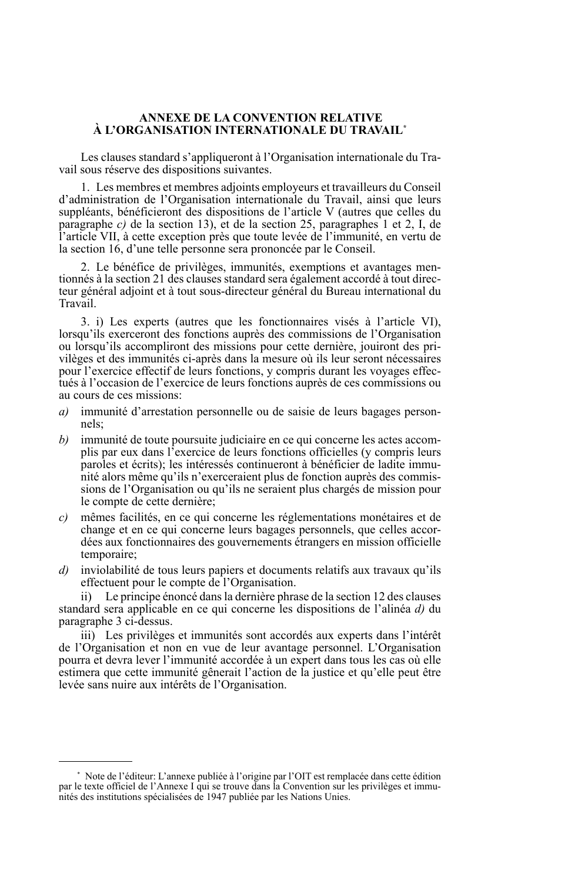# **ANNEXE DE LA CONVENTION RELATIVE À L'ORGANISATION INTERNATIONALE DU TRAVAIL\***

Les clauses standard s'appliqueront à l'Organisation internationale du Travail sous réserve des dispositions suivantes.

1. Les membres et membres adjoints employeurs et travailleurs du Conseil d'administration de l'Organisation internationale du Travail, ainsi que leurs suppléants, bénéficieront des dispositions de l'article V (autres que celles du paragraphe *c)* de la section 13), et de la section 25, paragraphes 1 et 2, I, de l'article VII, à cette exception près que toute levée de l'immunité, en vertu de la section 16, d'une telle personne sera prononcée par le Conseil.

2. Le bénéfice de privilèges, immunités, exemptions et avantages mentionnés à la section 21 des clauses standard sera également accordé à tout directeur général adjoint et à tout sous-directeur général du Bureau international du Travail.

3. i) Les experts (autres que les fonctionnaires visés à l'article VI), lorsqu'ils exerceront des fonctions auprès des commissions de l'Organisation ou lorsqu'ils accompliront des missions pour cette dernière, jouiront des privilèges et des immunités ci-après dans la mesure où ils leur seront nécessaires pour l'exercice effectif de leurs fonctions, y compris durant les voyages effectués à l'occasion de l'exercice de leurs fonctions auprès de ces commissions ou au cours de ces missions:

- *a)* immunité d'arrestation personnelle ou de saisie de leurs bagages personnels;
- *b)* immunité de toute poursuite judiciaire en ce qui concerne les actes accomplis par eux dans l'exercice de leurs fonctions officielles (y compris leurs paroles et écrits); les intéressés continueront à bénéficier de ladite immunité alors même qu'ils n'exerceraient plus de fonction auprès des commissions de l'Organisation ou qu'ils ne seraient plus chargés de mission pour le compte de cette dernière;
- *c)* mêmes facilités, en ce qui concerne les réglementations monétaires et de change et en ce qui concerne leurs bagages personnels, que celles accordées aux fonctionnaires des gouvernements étrangers en mission officielle temporaire;
- *d)* inviolabilité de tous leurs papiers et documents relatifs aux travaux qu'ils effectuent pour le compte de l'Organisation.

ii) Le principe énoncé dans la dernière phrase de la section 12 des clauses standard sera applicable en ce qui concerne les dispositions de l'alinéa *d)* du paragraphe 3 ci-dessus.

iii) Les privilèges et immunités sont accordés aux experts dans l'intérêt de l'Organisation et non en vue de leur avantage personnel. L'Organisation pourra et devra lever l'immunité accordée à un expert dans tous les cas où elle estimera que cette immunité gênerait l'action de la justice et qu'elle peut être levée sans nuire aux intérêts de l'Organisation.

<sup>\*</sup> Note de l'éditeur: L'annexe publiée à l'origine par l'OIT est remplacée dans cette édition par le texte officiel de l'Annexe I qui se trouve dans la Convention sur les privilèges et immunités des institutions spécialisées de 1947 publiée par les Nations Unies.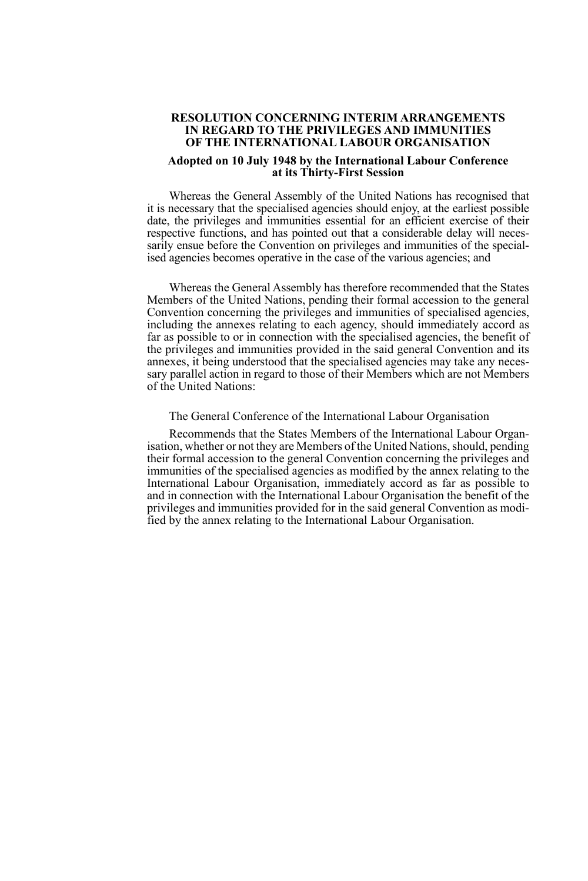# **RESOLUTION CONCERNING INTERIM ARRANGEMENTS IN REGARD TO THE PRIVILEGES AND IMMUNITIES OF THE INTERNATIONAL LABOUR ORGANISATION**

### **Adopted on 10 July 1948 by the International Labour Conference at its Thirty-First Session**

Whereas the General Assembly of the United Nations has recognised that it is necessary that the specialised agencies should enjoy, at the earliest possible date, the privileges and immunities essential for an efficient exercise of their respective functions, and has pointed out that a considerable delay will necessarily ensue before the Convention on privileges and immunities of the specialised agencies becomes operative in the case of the various agencies; and

Whereas the General Assembly has therefore recommended that the States Members of the United Nations, pending their formal accession to the general Convention concerning the privileges and immunities of specialised agencies, including the annexes relating to each agency, should immediately accord as far as possible to or in connection with the specialised agencies, the benefit of the privileges and immunities provided in the said general Convention and its annexes, it being understood that the specialised agencies may take any necessary parallel action in regard to those of their Members which are not Members of the United Nations:

# The General Conference of the International Labour Organisation

Recommends that the States Members of the International Labour Organisation, whether or not they are Members of the United Nations, should, pending their formal accession to the general Convention concerning the privileges and immunities of the specialised agencies as modified by the annex relating to the International Labour Organisation, immediately accord as far as possible to and in connection with the International Labour Organisation the benefit of the privileges and immunities provided for in the said general Convention as modified by the annex relating to the International Labour Organisation.